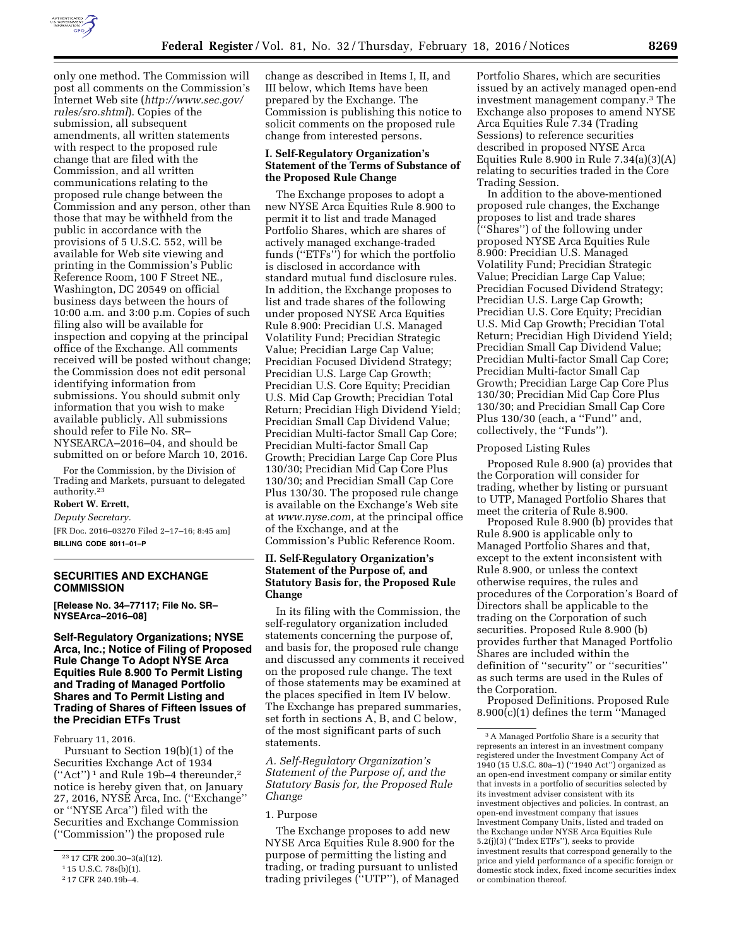

only one method. The Commission will post all comments on the Commission's Internet Web site (*[http://www.sec.gov/](http://www.sec.gov/rules/sro.shtml) [rules/sro.shtml](http://www.sec.gov/rules/sro.shtml)*). Copies of the submission, all subsequent amendments, all written statements with respect to the proposed rule change that are filed with the Commission, and all written communications relating to the proposed rule change between the Commission and any person, other than those that may be withheld from the public in accordance with the provisions of 5 U.S.C. 552, will be available for Web site viewing and printing in the Commission's Public Reference Room, 100 F Street NE., Washington, DC 20549 on official business days between the hours of 10:00 a.m. and 3:00 p.m. Copies of such filing also will be available for inspection and copying at the principal office of the Exchange. All comments received will be posted without change; the Commission does not edit personal identifying information from submissions. You should submit only information that you wish to make available publicly. All submissions should refer to File No. SR– NYSEARCA–2016–04, and should be submitted on or before March 10, 2016.

For the Commission, by the Division of Trading and Markets, pursuant to delegated authority.23

# **Robert W. Errett,**

*Deputy Secretary.*  [FR Doc. 2016–03270 Filed 2–17–16; 8:45 am]

**BILLING CODE 8011–01–P** 

## **SECURITIES AND EXCHANGE COMMISSION**

**[Release No. 34–77117; File No. SR– NYSEArca–2016–08]** 

## **Self-Regulatory Organizations; NYSE Arca, Inc.; Notice of Filing of Proposed Rule Change To Adopt NYSE Arca Equities Rule 8.900 To Permit Listing and Trading of Managed Portfolio Shares and To Permit Listing and Trading of Shares of Fifteen Issues of the Precidian ETFs Trust**

February 11, 2016.

Pursuant to Section 19(b)(1) of the Securities Exchange Act of 1934 (''Act'') 1 and Rule 19b–4 thereunder,2 notice is hereby given that, on January 27, 2016, NYSE Arca, Inc. (''Exchange'' or ''NYSE Arca'') filed with the Securities and Exchange Commission (''Commission'') the proposed rule

change as described in Items I, II, and III below, which Items have been prepared by the Exchange. The Commission is publishing this notice to solicit comments on the proposed rule change from interested persons.

## **I. Self-Regulatory Organization's Statement of the Terms of Substance of the Proposed Rule Change**

The Exchange proposes to adopt a new NYSE Arca Equities Rule 8.900 to permit it to list and trade Managed Portfolio Shares, which are shares of actively managed exchange-traded funds (''ETFs'') for which the portfolio is disclosed in accordance with standard mutual fund disclosure rules. In addition, the Exchange proposes to list and trade shares of the following under proposed NYSE Arca Equities Rule 8.900: Precidian U.S. Managed Volatility Fund; Precidian Strategic Value; Precidian Large Cap Value; Precidian Focused Dividend Strategy; Precidian U.S. Large Cap Growth; Precidian U.S. Core Equity; Precidian U.S. Mid Cap Growth; Precidian Total Return; Precidian High Dividend Yield; Precidian Small Cap Dividend Value; Precidian Multi-factor Small Cap Core; Precidian Multi-factor Small Cap Growth; Precidian Large Cap Core Plus 130/30; Precidian Mid Cap Core Plus 130/30; and Precidian Small Cap Core Plus 130/30. The proposed rule change is available on the Exchange's Web site at *[www.nyse.com,](http://www.nyse.com)* at the principal office of the Exchange, and at the Commission's Public Reference Room.

# **II. Self-Regulatory Organization's Statement of the Purpose of, and Statutory Basis for, the Proposed Rule Change**

In its filing with the Commission, the self-regulatory organization included statements concerning the purpose of, and basis for, the proposed rule change and discussed any comments it received on the proposed rule change. The text of those statements may be examined at the places specified in Item IV below. The Exchange has prepared summaries, set forth in sections A, B, and C below, of the most significant parts of such statements.

*A. Self-Regulatory Organization's Statement of the Purpose of, and the Statutory Basis for, the Proposed Rule Change* 

## 1. Purpose

The Exchange proposes to add new NYSE Arca Equities Rule 8.900 for the purpose of permitting the listing and trading, or trading pursuant to unlisted trading privileges (''UTP''), of Managed Portfolio Shares, which are securities issued by an actively managed open-end investment management company.3 The Exchange also proposes to amend NYSE Arca Equities Rule 7.34 (Trading Sessions) to reference securities described in proposed NYSE Arca Equities Rule 8.900 in Rule 7.34(a)(3)(A) relating to securities traded in the Core Trading Session.

In addition to the above-mentioned proposed rule changes, the Exchange proposes to list and trade shares (''Shares'') of the following under proposed NYSE Arca Equities Rule 8.900: Precidian U.S. Managed Volatility Fund; Precidian Strategic Value; Precidian Large Cap Value; Precidian Focused Dividend Strategy; Precidian U.S. Large Cap Growth; Precidian U.S. Core Equity; Precidian U.S. Mid Cap Growth; Precidian Total Return; Precidian High Dividend Yield; Precidian Small Cap Dividend Value; Precidian Multi-factor Small Cap Core; Precidian Multi-factor Small Cap Growth; Precidian Large Cap Core Plus 130/30; Precidian Mid Cap Core Plus 130/30; and Precidian Small Cap Core Plus 130/30 (each, a ''Fund'' and, collectively, the ''Funds'').

## Proposed Listing Rules

Proposed Rule 8.900 (a) provides that the Corporation will consider for trading, whether by listing or pursuant to UTP, Managed Portfolio Shares that meet the criteria of Rule 8.900.

Proposed Rule 8.900 (b) provides that Rule 8.900 is applicable only to Managed Portfolio Shares and that, except to the extent inconsistent with Rule 8.900, or unless the context otherwise requires, the rules and procedures of the Corporation's Board of Directors shall be applicable to the trading on the Corporation of such securities. Proposed Rule 8.900 (b) provides further that Managed Portfolio Shares are included within the definition of ''security'' or ''securities'' as such terms are used in the Rules of the Corporation.

Proposed Definitions. Proposed Rule 8.900(c)(1) defines the term ''Managed

<sup>23</sup> 17 CFR 200.30–3(a)(12).

<sup>1</sup> 15 U.S.C. 78s(b)(1).

<sup>2</sup> 17 CFR 240.19b–4.

<sup>3</sup>A Managed Portfolio Share is a security that represents an interest in an investment company registered under the Investment Company Act of 1940 (15 U.S.C. 80a–1) (''1940 Act'') organized as an open-end investment company or similar entity that invests in a portfolio of securities selected by its investment adviser consistent with its investment objectives and policies. In contrast, an open-end investment company that issues Investment Company Units, listed and traded on the Exchange under NYSE Arca Equities Rule 5.2(j)(3) (''Index ETFs''), seeks to provide investment results that correspond generally to the price and yield performance of a specific foreign or domestic stock index, fixed income securities index or combination thereof.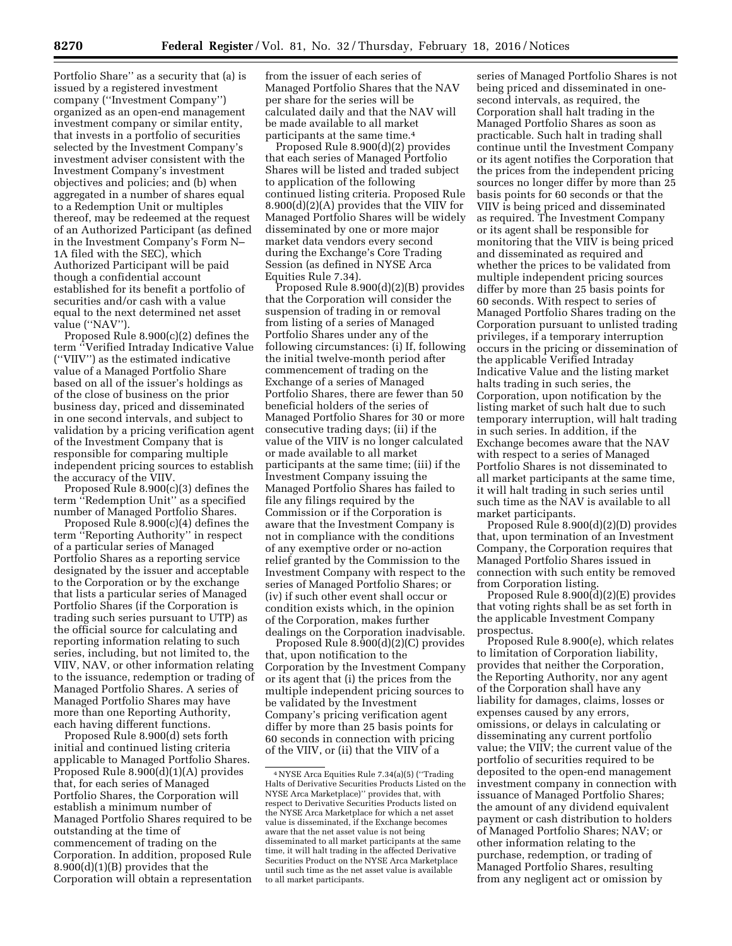Portfolio Share'' as a security that (a) is issued by a registered investment company (''Investment Company'') organized as an open-end management investment company or similar entity, that invests in a portfolio of securities selected by the Investment Company's investment adviser consistent with the Investment Company's investment objectives and policies; and (b) when aggregated in a number of shares equal to a Redemption Unit or multiples thereof, may be redeemed at the request of an Authorized Participant (as defined in the Investment Company's Form N– 1A filed with the SEC), which Authorized Participant will be paid though a confidential account established for its benefit a portfolio of securities and/or cash with a value equal to the next determined net asset value (''NAV'').

Proposed Rule 8.900(c)(2) defines the term ''Verified Intraday Indicative Value (''VIIV'') as the estimated indicative value of a Managed Portfolio Share based on all of the issuer's holdings as of the close of business on the prior business day, priced and disseminated in one second intervals, and subject to validation by a pricing verification agent of the Investment Company that is responsible for comparing multiple independent pricing sources to establish the accuracy of the VIIV.

Proposed Rule 8.900(c)(3) defines the term ''Redemption Unit'' as a specified number of Managed Portfolio Shares.

Proposed Rule 8.900(c)(4) defines the term ''Reporting Authority'' in respect of a particular series of Managed Portfolio Shares as a reporting service designated by the issuer and acceptable to the Corporation or by the exchange that lists a particular series of Managed Portfolio Shares (if the Corporation is trading such series pursuant to UTP) as the official source for calculating and reporting information relating to such series, including, but not limited to, the VIIV, NAV, or other information relating to the issuance, redemption or trading of Managed Portfolio Shares. A series of Managed Portfolio Shares may have more than one Reporting Authority, each having different functions.

Proposed Rule 8.900(d) sets forth initial and continued listing criteria applicable to Managed Portfolio Shares. Proposed Rule 8.900(d)(1)(A) provides that, for each series of Managed Portfolio Shares, the Corporation will establish a minimum number of Managed Portfolio Shares required to be outstanding at the time of commencement of trading on the Corporation. In addition, proposed Rule 8.900(d)(1)(B) provides that the Corporation will obtain a representation

from the issuer of each series of Managed Portfolio Shares that the NAV per share for the series will be calculated daily and that the NAV will be made available to all market participants at the same time.4

Proposed Rule 8.900(d)(2) provides that each series of Managed Portfolio Shares will be listed and traded subject to application of the following continued listing criteria. Proposed Rule 8.900(d)(2)(A) provides that the VIIV for Managed Portfolio Shares will be widely disseminated by one or more major market data vendors every second during the Exchange's Core Trading Session (as defined in NYSE Arca Equities Rule 7.34).

Proposed Rule 8.900(d)(2)(B) provides that the Corporation will consider the suspension of trading in or removal from listing of a series of Managed Portfolio Shares under any of the following circumstances: (i) If, following the initial twelve-month period after commencement of trading on the Exchange of a series of Managed Portfolio Shares, there are fewer than 50 beneficial holders of the series of Managed Portfolio Shares for 30 or more consecutive trading days; (ii) if the value of the VIIV is no longer calculated or made available to all market participants at the same time; (iii) if the Investment Company issuing the Managed Portfolio Shares has failed to file any filings required by the Commission or if the Corporation is aware that the Investment Company is not in compliance with the conditions of any exemptive order or no-action relief granted by the Commission to the Investment Company with respect to the series of Managed Portfolio Shares; or (iv) if such other event shall occur or condition exists which, in the opinion of the Corporation, makes further dealings on the Corporation inadvisable.

Proposed Rule 8.900(d)(2)(C) provides that, upon notification to the Corporation by the Investment Company or its agent that (i) the prices from the multiple independent pricing sources to be validated by the Investment Company's pricing verification agent differ by more than 25 basis points for 60 seconds in connection with pricing of the VIIV, or (ii) that the VIIV of a

series of Managed Portfolio Shares is not being priced and disseminated in onesecond intervals, as required, the Corporation shall halt trading in the Managed Portfolio Shares as soon as practicable. Such halt in trading shall continue until the Investment Company or its agent notifies the Corporation that the prices from the independent pricing sources no longer differ by more than 25 basis points for 60 seconds or that the VIIV is being priced and disseminated as required. The Investment Company or its agent shall be responsible for monitoring that the VIIV is being priced and disseminated as required and whether the prices to be validated from multiple independent pricing sources differ by more than 25 basis points for 60 seconds. With respect to series of Managed Portfolio Shares trading on the Corporation pursuant to unlisted trading privileges, if a temporary interruption occurs in the pricing or dissemination of the applicable Verified Intraday Indicative Value and the listing market halts trading in such series, the Corporation, upon notification by the listing market of such halt due to such temporary interruption, will halt trading in such series. In addition, if the Exchange becomes aware that the NAV with respect to a series of Managed Portfolio Shares is not disseminated to all market participants at the same time, it will halt trading in such series until such time as the NAV is available to all market participants.

Proposed Rule 8.900(d)(2)(D) provides that, upon termination of an Investment Company, the Corporation requires that Managed Portfolio Shares issued in connection with such entity be removed from Corporation listing.

Proposed Rule 8.900(d)(2)(E) provides that voting rights shall be as set forth in the applicable Investment Company prospectus.

Proposed Rule 8.900(e), which relates to limitation of Corporation liability, provides that neither the Corporation, the Reporting Authority, nor any agent of the Corporation shall have any liability for damages, claims, losses or expenses caused by any errors, omissions, or delays in calculating or disseminating any current portfolio value; the VIIV; the current value of the portfolio of securities required to be deposited to the open-end management investment company in connection with issuance of Managed Portfolio Shares; the amount of any dividend equivalent payment or cash distribution to holders of Managed Portfolio Shares; NAV; or other information relating to the purchase, redemption, or trading of Managed Portfolio Shares, resulting from any negligent act or omission by

<sup>4</sup>NYSE Arca Equities Rule 7.34(a)(5) (''Trading Halts of Derivative Securities Products Listed on the NYSE Arca Marketplace)'' provides that, with respect to Derivative Securities Products listed on the NYSE Arca Marketplace for which a net asset value is disseminated, if the Exchange becomes aware that the net asset value is not being disseminated to all market participants at the same time, it will halt trading in the affected Derivative Securities Product on the NYSE Arca Marketplace until such time as the net asset value is available to all market participants.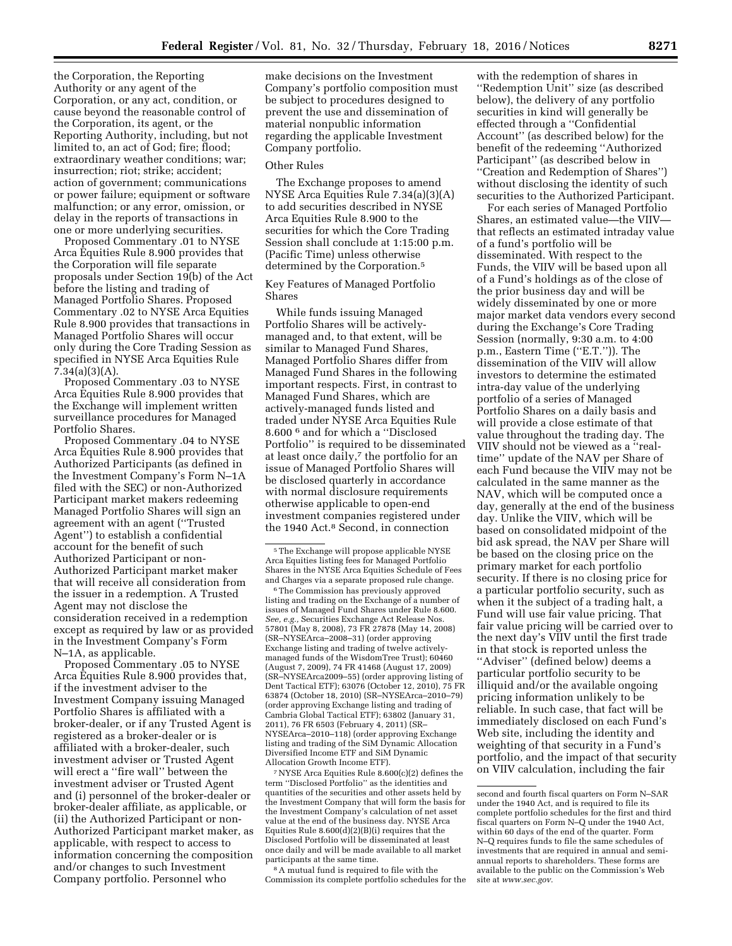the Corporation, the Reporting Authority or any agent of the Corporation, or any act, condition, or cause beyond the reasonable control of the Corporation, its agent, or the Reporting Authority, including, but not limited to, an act of God; fire; flood; extraordinary weather conditions; war; insurrection; riot; strike; accident; action of government; communications or power failure; equipment or software malfunction; or any error, omission, or delay in the reports of transactions in one or more underlying securities.

Proposed Commentary .01 to NYSE Arca Equities Rule 8.900 provides that the Corporation will file separate proposals under Section 19(b) of the Act before the listing and trading of Managed Portfolio Shares. Proposed Commentary .02 to NYSE Arca Equities Rule 8.900 provides that transactions in Managed Portfolio Shares will occur only during the Core Trading Session as specified in NYSE Arca Equities Rule 7.34(a)(3)(A).

Proposed Commentary .03 to NYSE Arca Equities Rule 8.900 provides that the Exchange will implement written surveillance procedures for Managed Portfolio Shares.

Proposed Commentary .04 to NYSE Arca Equities Rule 8.900 provides that Authorized Participants (as defined in the Investment Company's Form N–1A filed with the SEC) or non-Authorized Participant market makers redeeming Managed Portfolio Shares will sign an agreement with an agent (''Trusted Agent'') to establish a confidential account for the benefit of such Authorized Participant or non-Authorized Participant market maker that will receive all consideration from the issuer in a redemption. A Trusted Agent may not disclose the consideration received in a redemption except as required by law or as provided in the Investment Company's Form N–1A, as applicable.

Proposed Commentary .05 to NYSE Arca Equities Rule 8.900 provides that, if the investment adviser to the Investment Company issuing Managed Portfolio Shares is affiliated with a broker-dealer, or if any Trusted Agent is registered as a broker-dealer or is affiliated with a broker-dealer, such investment adviser or Trusted Agent will erect a ''fire wall'' between the investment adviser or Trusted Agent and (i) personnel of the broker-dealer or broker-dealer affiliate, as applicable, or (ii) the Authorized Participant or non-Authorized Participant market maker, as applicable, with respect to access to information concerning the composition and/or changes to such Investment Company portfolio. Personnel who

make decisions on the Investment Company's portfolio composition must be subject to procedures designed to prevent the use and dissemination of material nonpublic information regarding the applicable Investment Company portfolio.

#### Other Rules

The Exchange proposes to amend NYSE Arca Equities Rule 7.34(a)(3)(A) to add securities described in NYSE Arca Equities Rule 8.900 to the securities for which the Core Trading Session shall conclude at 1:15:00 p.m. (Pacific Time) unless otherwise determined by the Corporation.<sup>5</sup>

Key Features of Managed Portfolio Shares

While funds issuing Managed Portfolio Shares will be activelymanaged and, to that extent, will be similar to Managed Fund Shares, Managed Portfolio Shares differ from Managed Fund Shares in the following important respects. First, in contrast to Managed Fund Shares, which are actively-managed funds listed and traded under NYSE Arca Equities Rule 8.600 6 and for which a ''Disclosed Portfolio'' is required to be disseminated at least once daily,<sup>7</sup> the portfolio for an issue of Managed Portfolio Shares will be disclosed quarterly in accordance with normal disclosure requirements otherwise applicable to open-end investment companies registered under the 1940 Act.<sup>8</sup> Second, in connection

5The Exchange will propose applicable NYSE Arca Equities listing fees for Managed Portfolio Shares in the NYSE Arca Equities Schedule of Fees and Charges via a separate proposed rule change.

 $^{\rm 6}$  The Commission has previously approved listing and trading on the Exchange of a number of issues of Managed Fund Shares under Rule 8.600. *See, e.g.,* Securities Exchange Act Release Nos. 57801 (May 8, 2008), 73 FR 27878 (May 14, 2008) (SR–NYSEArca–2008–31) (order approving Exchange listing and trading of twelve activelymanaged funds of the WisdomTree Trust); 60460 (August 7, 2009), 74 FR 41468 (August 17, 2009) (SR–NYSEArca2009–55) (order approving listing of Dent Tactical ETF); 63076 (October 12, 2010), 75 FR 63874 (October 18, 2010) (SR–NYSEArca–2010–79) (order approving Exchange listing and trading of Cambria Global Tactical ETF); 63802 (January 31, 2011), 76 FR 6503 (February 4, 2011) (SR– NYSEArca–2010–118) (order approving Exchange listing and trading of the SiM Dynamic Allocation Diversified Income ETF and SiM Dynamic Allocation Growth Income ETF).

7NYSE Arca Equities Rule 8.600(c)(2) defines the term ''Disclosed Portfolio'' as the identities and quantities of the securities and other assets held by the Investment Company that will form the basis for the Investment Company's calculation of net asset value at the end of the business day. NYSE Arca Equities Rule 8.600(d)(2)(B)(i) requires that the Disclosed Portfolio will be disseminated at least once daily and will be made available to all market participants at the same time.

8A mutual fund is required to file with the Commission its complete portfolio schedules for the

with the redemption of shares in ''Redemption Unit'' size (as described below), the delivery of any portfolio securities in kind will generally be effected through a ''Confidential Account'' (as described below) for the benefit of the redeeming ''Authorized Participant'' (as described below in ''Creation and Redemption of Shares'') without disclosing the identity of such securities to the Authorized Participant.

For each series of Managed Portfolio Shares, an estimated value—the VIIV that reflects an estimated intraday value of a fund's portfolio will be disseminated. With respect to the Funds, the VIIV will be based upon all of a Fund's holdings as of the close of the prior business day and will be widely disseminated by one or more major market data vendors every second during the Exchange's Core Trading Session (normally, 9:30 a.m. to 4:00 p.m., Eastern Time (''E.T.'')). The dissemination of the VIIV will allow investors to determine the estimated intra-day value of the underlying portfolio of a series of Managed Portfolio Shares on a daily basis and will provide a close estimate of that value throughout the trading day. The VIIV should not be viewed as a ''realtime'' update of the NAV per Share of each Fund because the VIIV may not be calculated in the same manner as the NAV, which will be computed once a day, generally at the end of the business day. Unlike the VIIV, which will be based on consolidated midpoint of the bid ask spread, the NAV per Share will be based on the closing price on the primary market for each portfolio security. If there is no closing price for a particular portfolio security, such as when it the subject of a trading halt, a Fund will use fair value pricing. That fair value pricing will be carried over to the next day's VIIV until the first trade in that stock is reported unless the ''Adviser'' (defined below) deems a particular portfolio security to be illiquid and/or the available ongoing pricing information unlikely to be reliable. In such case, that fact will be immediately disclosed on each Fund's Web site, including the identity and weighting of that security in a Fund's portfolio, and the impact of that security on VIIV calculation, including the fair

second and fourth fiscal quarters on Form N–SAR under the 1940 Act, and is required to file its complete portfolio schedules for the first and third fiscal quarters on Form N–Q under the 1940 Act, within 60 days of the end of the quarter. Form N–Q requires funds to file the same schedules of investments that are required in annual and semiannual reports to shareholders. These forms are available to the public on the Commission's Web site at *[www.sec.gov.](http://www.sec.gov)*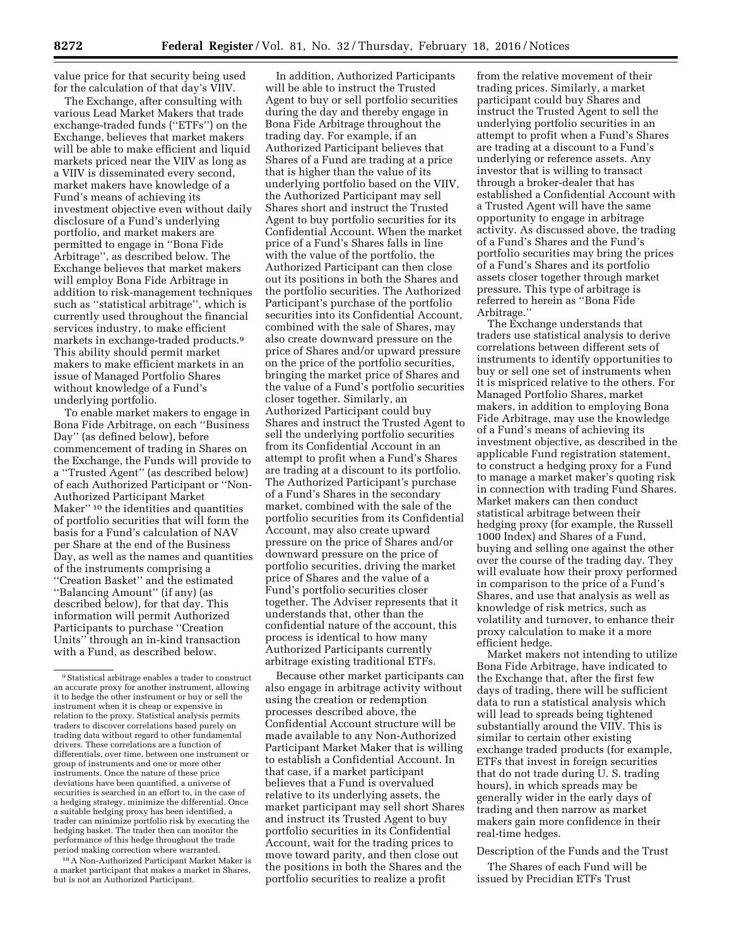value price for that security being used for the calculation of that day's VIIV.

The Exchange, after consulting with various Lead Market Makers that trade exchange-traded funds (''ETFs'') on the Exchange, believes that market makers will be able to make efficient and liquid markets priced near the VIIV as long as a VIIV is disseminated every second, market makers have knowledge of a Fund's means of achieving its investment objective even without daily disclosure of a Fund's underlying portfolio, and market makers are permitted to engage in ''Bona Fide Arbitrage'', as described below. The Exchange believes that market makers will employ Bona Fide Arbitrage in addition to risk-management techniques such as ''statistical arbitrage'', which is currently used throughout the financial services industry, to make efficient markets in exchange-traded products.9 This ability should permit market makers to make efficient markets in an issue of Managed Portfolio Shares without knowledge of a Fund's underlying portfolio.

To enable market makers to engage in Bona Fide Arbitrage, on each ''Business Day'' (as defined below), before commencement of trading in Shares on the Exchange, the Funds will provide to a ''Trusted Agent'' (as described below) of each Authorized Participant or ''Non-Authorized Participant Market Maker'' 10 the identities and quantities of portfolio securities that will form the basis for a Fund's calculation of NAV per Share at the end of the Business Day, as well as the names and quantities of the instruments comprising a ''Creation Basket'' and the estimated ''Balancing Amount'' (if any) (as described below), for that day. This information will permit Authorized Participants to purchase ''Creation Units'' through an in-kind transaction with a Fund, as described below.

10A Non-Authorized Participant Market Maker is a market participant that makes a market in Shares, but is not an Authorized Participant.

In addition, Authorized Participants will be able to instruct the Trusted Agent to buy or sell portfolio securities during the day and thereby engage in Bona Fide Arbitrage throughout the trading day. For example, if an Authorized Participant believes that Shares of a Fund are trading at a price that is higher than the value of its underlying portfolio based on the VIIV, the Authorized Participant may sell Shares short and instruct the Trusted Agent to buy portfolio securities for its Confidential Account. When the market price of a Fund's Shares falls in line with the value of the portfolio, the Authorized Participant can then close out its positions in both the Shares and the portfolio securities. The Authorized Participant's purchase of the portfolio securities into its Confidential Account, combined with the sale of Shares, may also create downward pressure on the price of Shares and/or upward pressure on the price of the portfolio securities, bringing the market price of Shares and the value of a Fund's portfolio securities closer together. Similarly, an Authorized Participant could buy Shares and instruct the Trusted Agent to sell the underlying portfolio securities from its Confidential Account in an attempt to profit when a Fund's Shares are trading at a discount to its portfolio. The Authorized Participant's purchase of a Fund's Shares in the secondary market, combined with the sale of the portfolio securities from its Confidential Account, may also create upward pressure on the price of Shares and/or downward pressure on the price of portfolio securities, driving the market price of Shares and the value of a Fund's portfolio securities closer together. The Adviser represents that it understands that, other than the confidential nature of the account, this process is identical to how many Authorized Participants currently arbitrage existing traditional ETFs.

Because other market participants can also engage in arbitrage activity without using the creation or redemption processes described above, the Confidential Account structure will be made available to any Non-Authorized Participant Market Maker that is willing to establish a Confidential Account. In that case, if a market participant believes that a Fund is overvalued relative to its underlying assets, the market participant may sell short Shares and instruct its Trusted Agent to buy portfolio securities in its Confidential Account, wait for the trading prices to move toward parity, and then close out the positions in both the Shares and the portfolio securities to realize a profit

from the relative movement of their trading prices. Similarly, a market participant could buy Shares and instruct the Trusted Agent to sell the underlying portfolio securities in an attempt to profit when a Fund's Shares are trading at a discount to a Fund's underlying or reference assets. Any investor that is willing to transact through a broker-dealer that has established a Confidential Account with a Trusted Agent will have the same opportunity to engage in arbitrage activity. As discussed above, the trading of a Fund's Shares and the Fund's portfolio securities may bring the prices of a Fund's Shares and its portfolio assets closer together through market pressure. This type of arbitrage is referred to herein as ''Bona Fide Arbitrage.''

The Exchange understands that traders use statistical analysis to derive correlations between different sets of instruments to identify opportunities to buy or sell one set of instruments when it is mispriced relative to the others. For Managed Portfolio Shares, market makers, in addition to employing Bona Fide Arbitrage, may use the knowledge of a Fund's means of achieving its investment objective, as described in the applicable Fund registration statement, to construct a hedging proxy for a Fund to manage a market maker's quoting risk in connection with trading Fund Shares. Market makers can then conduct statistical arbitrage between their hedging proxy (for example, the Russell 1000 Index) and Shares of a Fund, buying and selling one against the other over the course of the trading day. They will evaluate how their proxy performed in comparison to the price of a Fund's Shares, and use that analysis as well as knowledge of risk metrics, such as volatility and turnover, to enhance their proxy calculation to make it a more efficient hedge.

Market makers not intending to utilize Bona Fide Arbitrage, have indicated to the Exchange that, after the first few days of trading, there will be sufficient data to run a statistical analysis which will lead to spreads being tightened substantially around the VIIV. This is similar to certain other existing exchange traded products (for example, ETFs that invest in foreign securities that do not trade during U. S. trading hours), in which spreads may be generally wider in the early days of trading and then narrow as market makers gain more confidence in their real-time hedges.

Description of the Funds and the Trust

The Shares of each Fund will be issued by Precidian ETFs Trust

<sup>9</sup>Statistical arbitrage enables a trader to construct an accurate proxy for another instrument, allowing it to hedge the other instrument or buy or sell the instrument when it is cheap or expensive in relation to the proxy. Statistical analysis permits traders to discover correlations based purely on trading data without regard to other fundamental drivers. These correlations are a function of differentials, over time, between one instrument or group of instruments and one or more other instruments. Once the nature of these price deviations have been quantified, a universe of securities is searched in an effort to, in the case of a hedging strategy, minimize the differential. Once a suitable hedging proxy has been identified, a trader can minimize portfolio risk by executing the hedging basket. The trader then can monitor the performance of this hedge throughout the trade period making correction where warranted.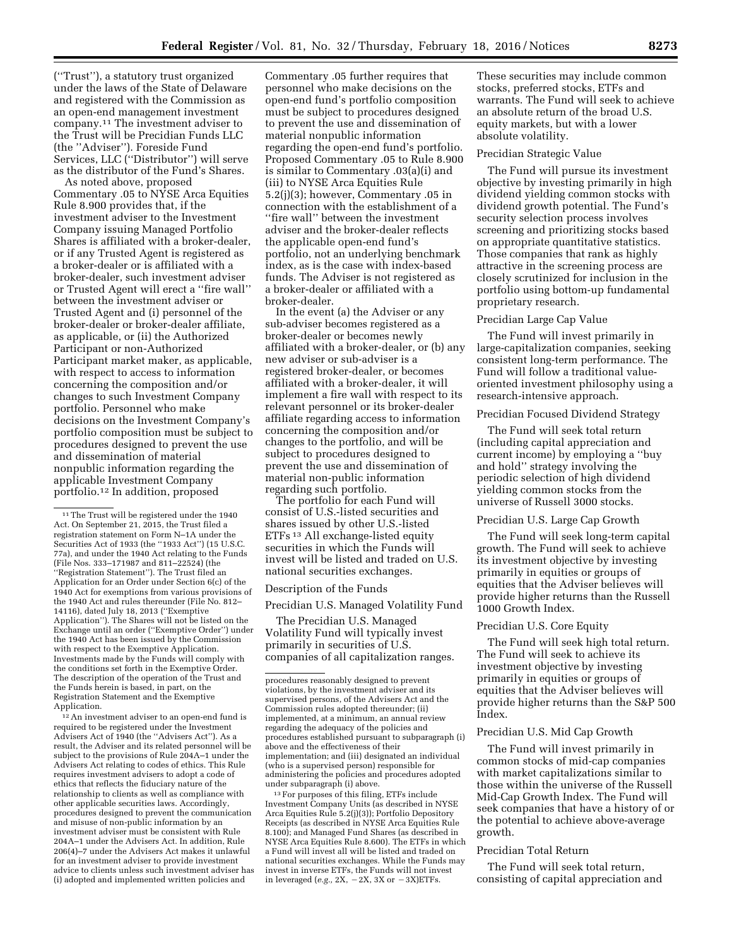(''Trust''), a statutory trust organized under the laws of the State of Delaware and registered with the Commission as an open-end management investment company.11 The investment adviser to the Trust will be Precidian Funds LLC (the ''Adviser''). Foreside Fund Services, LLC (''Distributor'') will serve as the distributor of the Fund's Shares.

As noted above, proposed Commentary .05 to NYSE Arca Equities Rule 8.900 provides that, if the investment adviser to the Investment Company issuing Managed Portfolio Shares is affiliated with a broker-dealer, or if any Trusted Agent is registered as a broker-dealer or is affiliated with a broker-dealer, such investment adviser or Trusted Agent will erect a ''fire wall'' between the investment adviser or Trusted Agent and (i) personnel of the broker-dealer or broker-dealer affiliate, as applicable, or (ii) the Authorized Participant or non-Authorized Participant market maker, as applicable, with respect to access to information concerning the composition and/or changes to such Investment Company portfolio. Personnel who make decisions on the Investment Company's portfolio composition must be subject to procedures designed to prevent the use and dissemination of material nonpublic information regarding the applicable Investment Company portfolio.12 In addition, proposed

<sup>12</sup> An investment adviser to an open-end fund is required to be registered under the Investment Advisers Act of 1940 (the ''Advisers Act''). As a result, the Adviser and its related personnel will be subject to the provisions of Rule 204A–1 under the Advisers Act relating to codes of ethics. This Rule requires investment advisers to adopt a code of ethics that reflects the fiduciary nature of the relationship to clients as well as compliance with other applicable securities laws. Accordingly, procedures designed to prevent the communication and misuse of non-public information by an investment adviser must be consistent with Rule 204A–1 under the Advisers Act. In addition, Rule 206(4)–7 under the Advisers Act makes it unlawful for an investment adviser to provide investment advice to clients unless such investment adviser has (i) adopted and implemented written policies and

Commentary .05 further requires that personnel who make decisions on the open-end fund's portfolio composition must be subject to procedures designed to prevent the use and dissemination of material nonpublic information regarding the open-end fund's portfolio. Proposed Commentary .05 to Rule 8.900 is similar to Commentary .03(a)(i) and (iii) to NYSE Arca Equities Rule 5.2(j)(3); however, Commentary .05 in connection with the establishment of a ''fire wall'' between the investment adviser and the broker-dealer reflects the applicable open-end fund's portfolio, not an underlying benchmark index, as is the case with index-based funds. The Adviser is not registered as a broker-dealer or affiliated with a broker-dealer.

In the event (a) the Adviser or any sub-adviser becomes registered as a broker-dealer or becomes newly affiliated with a broker-dealer, or (b) any new adviser or sub-adviser is a registered broker-dealer, or becomes affiliated with a broker-dealer, it will implement a fire wall with respect to its relevant personnel or its broker-dealer affiliate regarding access to information concerning the composition and/or changes to the portfolio, and will be subject to procedures designed to prevent the use and dissemination of material non-public information regarding such portfolio.

The portfolio for each Fund will consist of U.S.-listed securities and shares issued by other U.S.-listed ETFs 13 All exchange-listed equity securities in which the Funds will invest will be listed and traded on U.S. national securities exchanges.

# Description of the Funds

Precidian U.S. Managed Volatility Fund

The Precidian U.S. Managed Volatility Fund will typically invest primarily in securities of U.S. companies of all capitalization ranges.

13For purposes of this filing, ETFs include Investment Company Units (as described in NYSE Arca Equities Rule 5.2(j)(3)); Portfolio Depository Receipts (as described in NYSE Arca Equities Rule 8.100); and Managed Fund Shares (as described in NYSE Arca Equities Rule 8.600). The ETFs in which a Fund will invest all will be listed and traded on national securities exchanges. While the Funds may invest in inverse ETFs, the Funds will not invest in leveraged ( $e.g., 2X, -2X, 3X$  or  $-3X)ETFs.$ 

These securities may include common stocks, preferred stocks, ETFs and warrants. The Fund will seek to achieve an absolute return of the broad U.S. equity markets, but with a lower absolute volatility.

#### Precidian Strategic Value

The Fund will pursue its investment objective by investing primarily in high dividend yielding common stocks with dividend growth potential. The Fund's security selection process involves screening and prioritizing stocks based on appropriate quantitative statistics. Those companies that rank as highly attractive in the screening process are closely scrutinized for inclusion in the portfolio using bottom-up fundamental proprietary research.

## Precidian Large Cap Value

The Fund will invest primarily in large-capitalization companies, seeking consistent long-term performance. The Fund will follow a traditional valueoriented investment philosophy using a research-intensive approach.

# Precidian Focused Dividend Strategy

The Fund will seek total return (including capital appreciation and current income) by employing a ''buy and hold'' strategy involving the periodic selection of high dividend yielding common stocks from the universe of Russell 3000 stocks.

## Precidian U.S. Large Cap Growth

The Fund will seek long-term capital growth. The Fund will seek to achieve its investment objective by investing primarily in equities or groups of equities that the Adviser believes will provide higher returns than the Russell 1000 Growth Index.

#### Precidian U.S. Core Equity

The Fund will seek high total return. The Fund will seek to achieve its investment objective by investing primarily in equities or groups of equities that the Adviser believes will provide higher returns than the S&P 500 Index.

#### Precidian U.S. Mid Cap Growth

The Fund will invest primarily in common stocks of mid-cap companies with market capitalizations similar to those within the universe of the Russell Mid-Cap Growth Index. The Fund will seek companies that have a history of or the potential to achieve above-average growth.

#### Precidian Total Return

The Fund will seek total return, consisting of capital appreciation and

<sup>11</sup>The Trust will be registered under the 1940 Act. On September 21, 2015, the Trust filed a registration statement on Form N–1A under the Securities Act of 1933 (the ''1933 Act'') (15 U.S.C. 77a), and under the 1940 Act relating to the Funds (File Nos. 333–171987 and 811–22524) (the ''Registration Statement''). The Trust filed an Application for an Order under Section 6(c) of the 1940 Act for exemptions from various provisions of the 1940 Act and rules thereunder (File No. 812– 14116), dated July 18, 2013 (''Exemptive Application''). The Shares will not be listed on the Exchange until an order (''Exemptive Order'') under the 1940 Act has been issued by the Commission with respect to the Exemptive Application. Investments made by the Funds will comply with the conditions set forth in the Exemptive Order. The description of the operation of the Trust and the Funds herein is based, in part, on the Registration Statement and the Exemptive Application.

procedures reasonably designed to prevent violations, by the investment adviser and its supervised persons, of the Advisers Act and the Commission rules adopted thereunder; (ii) implemented, at a minimum, an annual review regarding the adequacy of the policies and procedures established pursuant to subparagraph (i) above and the effectiveness of their implementation; and (iii) designated an individual (who is a supervised person) responsible for administering the policies and procedures adopted under subparagraph (i) above.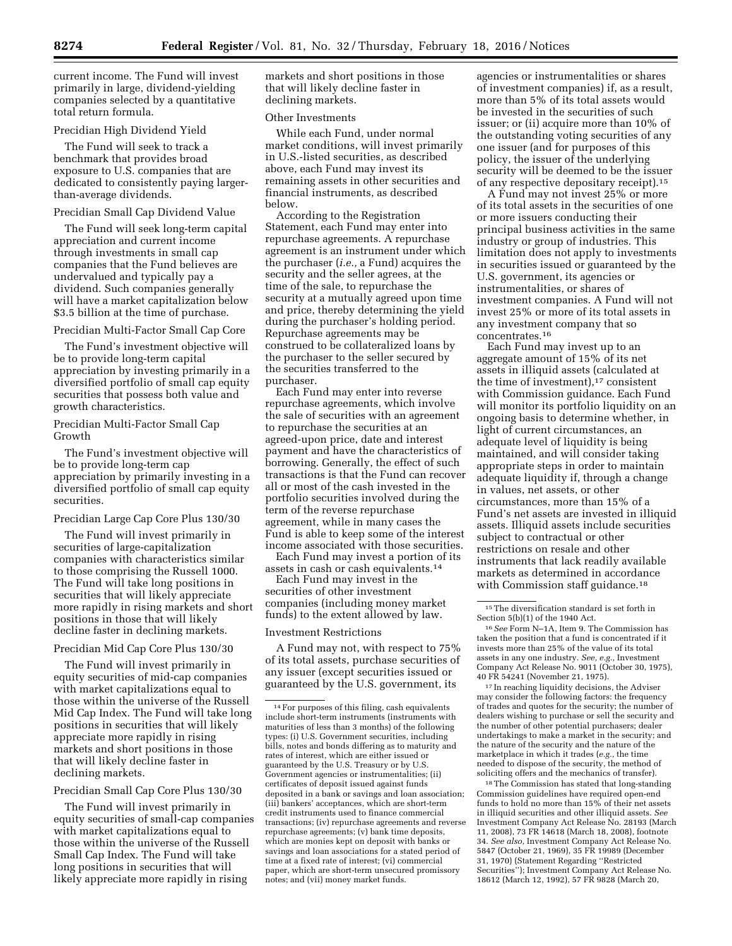current income. The Fund will invest primarily in large, dividend-yielding companies selected by a quantitative total return formula.

## Precidian High Dividend Yield

The Fund will seek to track a benchmark that provides broad exposure to U.S. companies that are dedicated to consistently paying largerthan-average dividends.

#### Precidian Small Cap Dividend Value

The Fund will seek long-term capital appreciation and current income through investments in small cap companies that the Fund believes are undervalued and typically pay a dividend. Such companies generally will have a market capitalization below \$3.5 billion at the time of purchase.

## Precidian Multi-Factor Small Cap Core

The Fund's investment objective will be to provide long-term capital appreciation by investing primarily in a diversified portfolio of small cap equity securities that possess both value and growth characteristics.

Precidian Multi-Factor Small Cap Growth

The Fund's investment objective will be to provide long-term cap appreciation by primarily investing in a diversified portfolio of small cap equity securities.

## Precidian Large Cap Core Plus 130/30

The Fund will invest primarily in securities of large-capitalization companies with characteristics similar to those comprising the Russell 1000. The Fund will take long positions in securities that will likely appreciate more rapidly in rising markets and short positions in those that will likely decline faster in declining markets.

#### Precidian Mid Cap Core Plus 130/30

The Fund will invest primarily in equity securities of mid-cap companies with market capitalizations equal to those within the universe of the Russell Mid Cap Index. The Fund will take long positions in securities that will likely appreciate more rapidly in rising markets and short positions in those that will likely decline faster in declining markets.

## Precidian Small Cap Core Plus 130/30

The Fund will invest primarily in equity securities of small-cap companies with market capitalizations equal to those within the universe of the Russell Small Cap Index. The Fund will take long positions in securities that will likely appreciate more rapidly in rising

markets and short positions in those that will likely decline faster in declining markets.

# Other Investments

While each Fund, under normal market conditions, will invest primarily in U.S.-listed securities, as described above, each Fund may invest its remaining assets in other securities and financial instruments, as described below.

According to the Registration Statement, each Fund may enter into repurchase agreements. A repurchase agreement is an instrument under which the purchaser (*i.e.,* a Fund) acquires the security and the seller agrees, at the time of the sale, to repurchase the security at a mutually agreed upon time and price, thereby determining the yield during the purchaser's holding period. Repurchase agreements may be construed to be collateralized loans by the purchaser to the seller secured by the securities transferred to the purchaser.

Each Fund may enter into reverse repurchase agreements, which involve the sale of securities with an agreement to repurchase the securities at an agreed-upon price, date and interest payment and have the characteristics of borrowing. Generally, the effect of such transactions is that the Fund can recover all or most of the cash invested in the portfolio securities involved during the term of the reverse repurchase agreement, while in many cases the Fund is able to keep some of the interest income associated with those securities.

Each Fund may invest a portion of its assets in cash or cash equivalents.14

Each Fund may invest in the securities of other investment companies (including money market funds) to the extent allowed by law.

#### Investment Restrictions

A Fund may not, with respect to 75% of its total assets, purchase securities of any issuer (except securities issued or guaranteed by the U.S. government, its

agencies or instrumentalities or shares of investment companies) if, as a result, more than 5% of its total assets would be invested in the securities of such issuer; or (ii) acquire more than 10% of the outstanding voting securities of any one issuer (and for purposes of this policy, the issuer of the underlying security will be deemed to be the issuer of any respective depositary receipt).15

A Fund may not invest 25% or more of its total assets in the securities of one or more issuers conducting their principal business activities in the same industry or group of industries. This limitation does not apply to investments in securities issued or guaranteed by the U.S. government, its agencies or instrumentalities, or shares of investment companies. A Fund will not invest 25% or more of its total assets in any investment company that so concentrates.16

Each Fund may invest up to an aggregate amount of 15% of its net assets in illiquid assets (calculated at the time of investment),<sup>17</sup> consistent with Commission guidance. Each Fund will monitor its portfolio liquidity on an ongoing basis to determine whether, in light of current circumstances, an adequate level of liquidity is being maintained, and will consider taking appropriate steps in order to maintain adequate liquidity if, through a change in values, net assets, or other circumstances, more than 15% of a Fund's net assets are invested in illiquid assets. Illiquid assets include securities subject to contractual or other restrictions on resale and other instruments that lack readily available markets as determined in accordance with Commission staff guidance.<sup>18</sup>

17 In reaching liquidity decisions, the Adviser may consider the following factors: the frequency of trades and quotes for the security; the number of dealers wishing to purchase or sell the security and the number of other potential purchasers; dealer undertakings to make a market in the security; and the nature of the security and the nature of the marketplace in which it trades (*e.g.,* the time needed to dispose of the security, the method of soliciting offers and the mechanics of transfer).

18The Commission has stated that long-standing Commission guidelines have required open-end funds to hold no more than 15% of their net assets in illiquid securities and other illiquid assets. *See*  Investment Company Act Release No. 28193 (March 11, 2008), 73 FR 14618 (March 18, 2008), footnote 34. *See also,* Investment Company Act Release No. 5847 (October 21, 1969), 35 FR 19989 (December 31, 1970) (Statement Regarding ''Restricted Securities''); Investment Company Act Release No. 18612 (March 12, 1992), 57 FR 9828 (March 20,

<sup>14</sup>For purposes of this filing, cash equivalents include short-term instruments (instruments with maturities of less than 3 months) of the following types: (i) U.S. Government securities, including bills, notes and bonds differing as to maturity and rates of interest, which are either issued or guaranteed by the U.S. Treasury or by U.S. Government agencies or instrumentalities; (ii) certificates of deposit issued against funds deposited in a bank or savings and loan association; (iii) bankers' acceptances, which are short-term credit instruments used to finance commercial transactions; (iv) repurchase agreements and reverse repurchase agreements; (v) bank time deposits, which are monies kept on deposit with banks or savings and loan associations for a stated period of time at a fixed rate of interest; (vi) commercial paper, which are short-term unsecured promissory notes; and (vii) money market funds.

<sup>&</sup>lt;sup>15</sup>The diversification standard is set forth in Section 5(b)(1) of the 1940 Act.

<sup>16</sup>*See* Form N–1A, Item 9. The Commission has taken the position that a fund is concentrated if it invests more than 25% of the value of its total assets in any one industry. *See, e.g.,* Investment Company Act Release No. 9011 (October 30, 1975), 40 FR 54241 (November 21, 1975).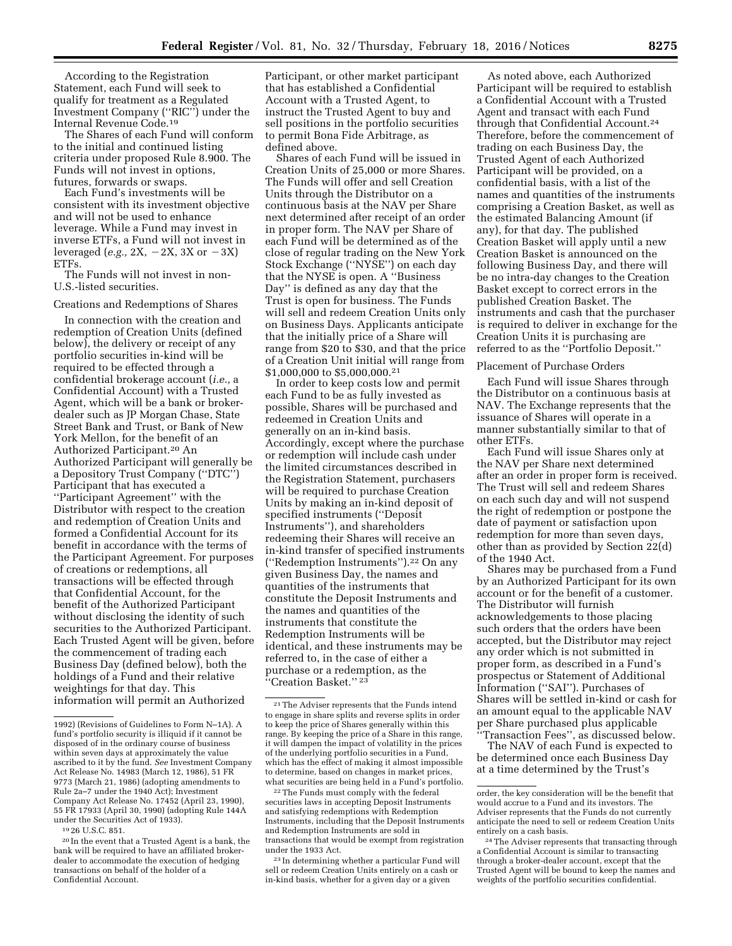According to the Registration Statement, each Fund will seek to qualify for treatment as a Regulated Investment Company (''RIC'') under the Internal Revenue Code.19

The Shares of each Fund will conform to the initial and continued listing criteria under proposed Rule 8.900. The Funds will not invest in options, futures, forwards or swaps.

Each Fund's investments will be consistent with its investment objective and will not be used to enhance leverage. While a Fund may invest in inverse ETFs, a Fund will not invest in leveraged (*e.g.*,  $2X$ ,  $-2X$ ,  $3X$  or  $-3X$ ) ETFs.

The Funds will not invest in non-U.S.-listed securities.

# Creations and Redemptions of Shares

In connection with the creation and redemption of Creation Units (defined below), the delivery or receipt of any portfolio securities in-kind will be required to be effected through a confidential brokerage account (*i.e.,* a Confidential Account) with a Trusted Agent, which will be a bank or brokerdealer such as JP Morgan Chase, State Street Bank and Trust, or Bank of New York Mellon, for the benefit of an Authorized Participant.20 An Authorized Participant will generally be a Depository Trust Company (''DTC'') Participant that has executed a ''Participant Agreement'' with the Distributor with respect to the creation and redemption of Creation Units and formed a Confidential Account for its benefit in accordance with the terms of the Participant Agreement. For purposes of creations or redemptions, all transactions will be effected through that Confidential Account, for the benefit of the Authorized Participant without disclosing the identity of such securities to the Authorized Participant. Each Trusted Agent will be given, before the commencement of trading each Business Day (defined below), both the holdings of a Fund and their relative weightings for that day. This information will permit an Authorized

19 26 U.S.C. 851.

Participant, or other market participant that has established a Confidential Account with a Trusted Agent, to instruct the Trusted Agent to buy and sell positions in the portfolio securities to permit Bona Fide Arbitrage, as defined above.

Shares of each Fund will be issued in Creation Units of 25,000 or more Shares. The Funds will offer and sell Creation Units through the Distributor on a continuous basis at the NAV per Share next determined after receipt of an order in proper form. The NAV per Share of each Fund will be determined as of the close of regular trading on the New York Stock Exchange (''NYSE'') on each day that the NYSE is open. A ''Business Day'' is defined as any day that the Trust is open for business. The Funds will sell and redeem Creation Units only on Business Days. Applicants anticipate that the initially price of a Share will range from \$20 to \$30, and that the price of a Creation Unit initial will range from \$1,000,000 to \$5,000,000.21

In order to keep costs low and permit each Fund to be as fully invested as possible, Shares will be purchased and redeemed in Creation Units and generally on an in-kind basis. Accordingly, except where the purchase or redemption will include cash under the limited circumstances described in the Registration Statement, purchasers will be required to purchase Creation Units by making an in-kind deposit of specified instruments (''Deposit Instruments''), and shareholders redeeming their Shares will receive an in-kind transfer of specified instruments (''Redemption Instruments'').22 On any given Business Day, the names and quantities of the instruments that constitute the Deposit Instruments and the names and quantities of the instruments that constitute the Redemption Instruments will be identical, and these instruments may be referred to, in the case of either a purchase or a redemption, as the "Creation Basket."<sup>23</sup>

22The Funds must comply with the federal securities laws in accepting Deposit Instruments and satisfying redemptions with Redemption Instruments, including that the Deposit Instruments and Redemption Instruments are sold in transactions that would be exempt from registration under the 1933 Act.

23 In determining whether a particular Fund will sell or redeem Creation Units entirely on a cash or in-kind basis, whether for a given day or a given

As noted above, each Authorized Participant will be required to establish a Confidential Account with a Trusted Agent and transact with each Fund through that Confidential Account.24 Therefore, before the commencement of trading on each Business Day, the Trusted Agent of each Authorized Participant will be provided, on a confidential basis, with a list of the names and quantities of the instruments comprising a Creation Basket, as well as the estimated Balancing Amount (if any), for that day. The published Creation Basket will apply until a new Creation Basket is announced on the following Business Day, and there will be no intra-day changes to the Creation Basket except to correct errors in the published Creation Basket. The instruments and cash that the purchaser is required to deliver in exchange for the Creation Units it is purchasing are referred to as the ''Portfolio Deposit.''

#### Placement of Purchase Orders

Each Fund will issue Shares through the Distributor on a continuous basis at NAV. The Exchange represents that the issuance of Shares will operate in a manner substantially similar to that of other ETFs.

Each Fund will issue Shares only at the NAV per Share next determined after an order in proper form is received. The Trust will sell and redeem Shares on each such day and will not suspend the right of redemption or postpone the date of payment or satisfaction upon redemption for more than seven days, other than as provided by Section 22(d) of the 1940 Act.

Shares may be purchased from a Fund by an Authorized Participant for its own account or for the benefit of a customer. The Distributor will furnish acknowledgements to those placing such orders that the orders have been accepted, but the Distributor may reject any order which is not submitted in proper form, as described in a Fund's prospectus or Statement of Additional Information (''SAI''). Purchases of Shares will be settled in-kind or cash for an amount equal to the applicable NAV per Share purchased plus applicable ''Transaction Fees'', as discussed below.

The NAV of each Fund is expected to be determined once each Business Day at a time determined by the Trust's

<sup>1992) (</sup>Revisions of Guidelines to Form N–1A). A fund's portfolio security is illiquid if it cannot be disposed of in the ordinary course of business within seven days at approximately the value ascribed to it by the fund. *See* Investment Company Act Release No. 14983 (March 12, 1986), 51 FR 9773 (March 21, 1986) (adopting amendments to Rule 2a–7 under the 1940 Act); Investment Company Act Release No. 17452 (April 23, 1990), 55 FR 17933 (April 30, 1990) (adopting Rule 144A under the Securities Act of 1933).

<sup>20</sup> In the event that a Trusted Agent is a bank, the bank will be required to have an affiliated brokerdealer to accommodate the execution of hedging transactions on behalf of the holder of a Confidential Account.

<sup>21</sup>The Adviser represents that the Funds intend to engage in share splits and reverse splits in order to keep the price of Shares generally within this range. By keeping the price of a Share in this range, it will dampen the impact of volatility in the prices of the underlying portfolio securities in a Fund, which has the effect of making it almost impossible to determine, based on changes in market prices, what securities are being held in a Fund's portfolio.

order, the key consideration will be the benefit that would accrue to a Fund and its investors. The Adviser represents that the Funds do not currently anticipate the need to sell or redeem Creation Units entirely on a cash basis.

<sup>24</sup>The Adviser represents that transacting through a Confidential Account is similar to transacting through a broker-dealer account, except that the Trusted Agent will be bound to keep the names and weights of the portfolio securities confidential.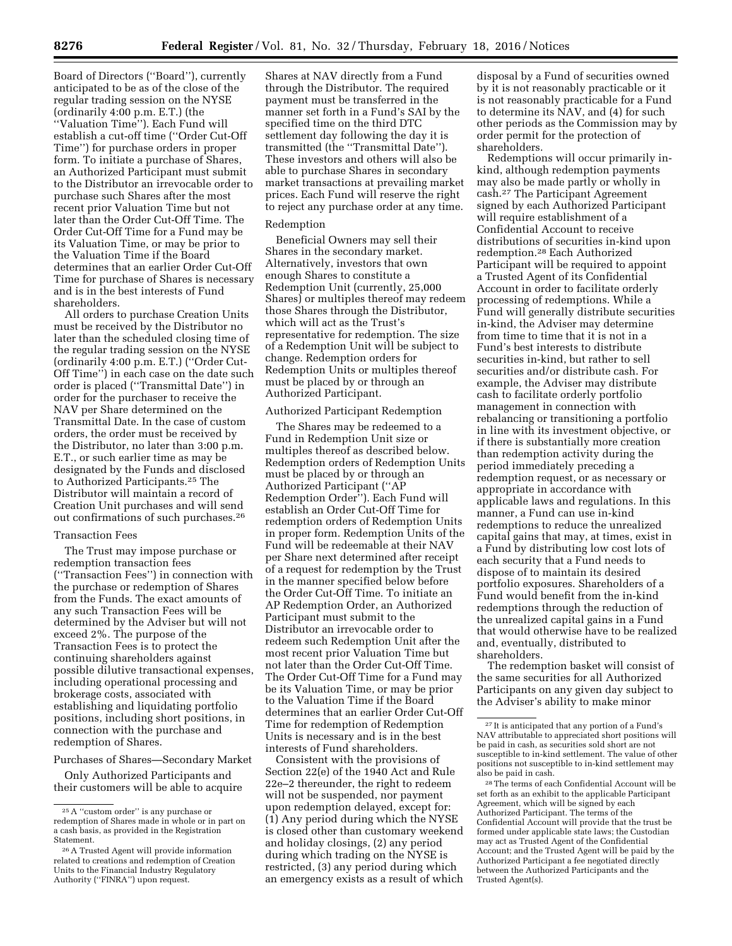Board of Directors (''Board''), currently anticipated to be as of the close of the regular trading session on the NYSE (ordinarily 4:00 p.m. E.T.) (the ''Valuation Time''). Each Fund will establish a cut-off time (''Order Cut-Off Time'') for purchase orders in proper form. To initiate a purchase of Shares, an Authorized Participant must submit to the Distributor an irrevocable order to purchase such Shares after the most recent prior Valuation Time but not later than the Order Cut-Off Time. The Order Cut-Off Time for a Fund may be its Valuation Time, or may be prior to the Valuation Time if the Board determines that an earlier Order Cut-Off Time for purchase of Shares is necessary and is in the best interests of Fund shareholders.

All orders to purchase Creation Units must be received by the Distributor no later than the scheduled closing time of the regular trading session on the NYSE (ordinarily 4:00 p.m. E.T.) (''Order Cut-Off Time'') in each case on the date such order is placed (''Transmittal Date'') in order for the purchaser to receive the NAV per Share determined on the Transmittal Date. In the case of custom orders, the order must be received by the Distributor, no later than 3:00 p.m. E.T., or such earlier time as may be designated by the Funds and disclosed to Authorized Participants.25 The Distributor will maintain a record of Creation Unit purchases and will send out confirmations of such purchases.26

## Transaction Fees

The Trust may impose purchase or redemption transaction fees (''Transaction Fees'') in connection with the purchase or redemption of Shares from the Funds. The exact amounts of any such Transaction Fees will be determined by the Adviser but will not exceed 2%. The purpose of the Transaction Fees is to protect the continuing shareholders against possible dilutive transactional expenses, including operational processing and brokerage costs, associated with establishing and liquidating portfolio positions, including short positions, in connection with the purchase and redemption of Shares.

## Purchases of Shares—Secondary Market

Only Authorized Participants and their customers will be able to acquire

Shares at NAV directly from a Fund through the Distributor. The required payment must be transferred in the manner set forth in a Fund's SAI by the specified time on the third DTC settlement day following the day it is transmitted (the ''Transmittal Date''). These investors and others will also be able to purchase Shares in secondary market transactions at prevailing market prices. Each Fund will reserve the right to reject any purchase order at any time.

# Redemption

Beneficial Owners may sell their Shares in the secondary market. Alternatively, investors that own enough Shares to constitute a Redemption Unit (currently, 25,000 Shares) or multiples thereof may redeem those Shares through the Distributor, which will act as the Trust's representative for redemption. The size of a Redemption Unit will be subject to change. Redemption orders for Redemption Units or multiples thereof must be placed by or through an Authorized Participant.

## Authorized Participant Redemption

The Shares may be redeemed to a Fund in Redemption Unit size or multiples thereof as described below. Redemption orders of Redemption Units must be placed by or through an Authorized Participant (''AP Redemption Order''). Each Fund will establish an Order Cut-Off Time for redemption orders of Redemption Units in proper form. Redemption Units of the Fund will be redeemable at their NAV per Share next determined after receipt of a request for redemption by the Trust in the manner specified below before the Order Cut-Off Time. To initiate an AP Redemption Order, an Authorized Participant must submit to the Distributor an irrevocable order to redeem such Redemption Unit after the most recent prior Valuation Time but not later than the Order Cut-Off Time. The Order Cut-Off Time for a Fund may be its Valuation Time, or may be prior to the Valuation Time if the Board determines that an earlier Order Cut-Off Time for redemption of Redemption Units is necessary and is in the best interests of Fund shareholders.

Consistent with the provisions of Section 22(e) of the 1940 Act and Rule 22e–2 thereunder, the right to redeem will not be suspended, nor payment upon redemption delayed, except for: (1) Any period during which the NYSE is closed other than customary weekend and holiday closings, (2) any period during which trading on the NYSE is restricted, (3) any period during which an emergency exists as a result of which

disposal by a Fund of securities owned by it is not reasonably practicable or it is not reasonably practicable for a Fund to determine its NAV, and (4) for such other periods as the Commission may by order permit for the protection of shareholders.

Redemptions will occur primarily inkind, although redemption payments may also be made partly or wholly in cash.27 The Participant Agreement signed by each Authorized Participant will require establishment of a Confidential Account to receive distributions of securities in-kind upon redemption.28 Each Authorized Participant will be required to appoint a Trusted Agent of its Confidential Account in order to facilitate orderly processing of redemptions. While a Fund will generally distribute securities in-kind, the Adviser may determine from time to time that it is not in a Fund's best interests to distribute securities in-kind, but rather to sell securities and/or distribute cash. For example, the Adviser may distribute cash to facilitate orderly portfolio management in connection with rebalancing or transitioning a portfolio in line with its investment objective, or if there is substantially more creation than redemption activity during the period immediately preceding a redemption request, or as necessary or appropriate in accordance with applicable laws and regulations. In this manner, a Fund can use in-kind redemptions to reduce the unrealized capital gains that may, at times, exist in a Fund by distributing low cost lots of each security that a Fund needs to dispose of to maintain its desired portfolio exposures. Shareholders of a Fund would benefit from the in-kind redemptions through the reduction of the unrealized capital gains in a Fund that would otherwise have to be realized and, eventually, distributed to shareholders.

The redemption basket will consist of the same securities for all Authorized Participants on any given day subject to the Adviser's ability to make minor

<sup>&</sup>lt;sup>25</sup>A "custom order" is any purchase or redemption of Shares made in whole or in part on a cash basis, as provided in the Registration Statement.

<sup>26</sup>A Trusted Agent will provide information related to creations and redemption of Creation Units to the Financial Industry Regulatory Authority (''FINRA'') upon request.

<sup>27</sup> It is anticipated that any portion of a Fund's NAV attributable to appreciated short positions will be paid in cash, as securities sold short are not susceptible to in-kind settlement. The value of other positions not susceptible to in-kind settlement may also be paid in cash.

<sup>28</sup>The terms of each Confidential Account will be set forth as an exhibit to the applicable Participant Agreement, which will be signed by each Authorized Participant. The terms of the Confidential Account will provide that the trust be formed under applicable state laws; the Custodian may act as Trusted Agent of the Confidential Account; and the Trusted Agent will be paid by the Authorized Participant a fee negotiated directly between the Authorized Participants and the Trusted Agent(s).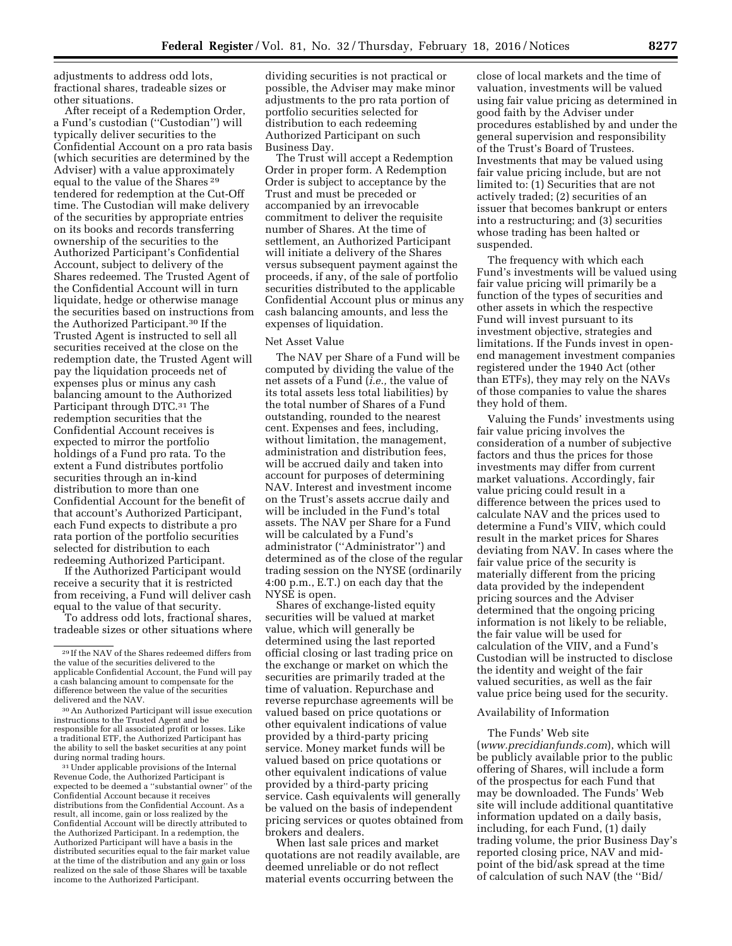adjustments to address odd lots, fractional shares, tradeable sizes or other situations.

After receipt of a Redemption Order, a Fund's custodian (''Custodian'') will typically deliver securities to the Confidential Account on a pro rata basis (which securities are determined by the Adviser) with a value approximately equal to the value of the Shares 29 tendered for redemption at the Cut-Off time. The Custodian will make delivery of the securities by appropriate entries on its books and records transferring ownership of the securities to the Authorized Participant's Confidential Account, subject to delivery of the Shares redeemed. The Trusted Agent of the Confidential Account will in turn liquidate, hedge or otherwise manage the securities based on instructions from the Authorized Participant.30 If the Trusted Agent is instructed to sell all securities received at the close on the redemption date, the Trusted Agent will pay the liquidation proceeds net of expenses plus or minus any cash balancing amount to the Authorized Participant through DTC.31 The redemption securities that the Confidential Account receives is expected to mirror the portfolio holdings of a Fund pro rata. To the extent a Fund distributes portfolio securities through an in-kind distribution to more than one Confidential Account for the benefit of that account's Authorized Participant, each Fund expects to distribute a pro rata portion of the portfolio securities selected for distribution to each redeeming Authorized Participant.

If the Authorized Participant would receive a security that it is restricted from receiving, a Fund will deliver cash equal to the value of that security.

To address odd lots, fractional shares, tradeable sizes or other situations where

during normal trading hours.<br><sup>31</sup> Under applicable provisions of the Internal Revenue Code, the Authorized Participant is expected to be deemed a ''substantial owner'' of the Confidential Account because it receives distributions from the Confidential Account. As a result, all income, gain or loss realized by the Confidential Account will be directly attributed to the Authorized Participant. In a redemption, the Authorized Participant will have a basis in the distributed securities equal to the fair market value at the time of the distribution and any gain or loss realized on the sale of those Shares will be taxable income to the Authorized Participant.

dividing securities is not practical or possible, the Adviser may make minor adjustments to the pro rata portion of portfolio securities selected for distribution to each redeeming Authorized Participant on such Business Day.

The Trust will accept a Redemption Order in proper form. A Redemption Order is subject to acceptance by the Trust and must be preceded or accompanied by an irrevocable commitment to deliver the requisite number of Shares. At the time of settlement, an Authorized Participant will initiate a delivery of the Shares versus subsequent payment against the proceeds, if any, of the sale of portfolio securities distributed to the applicable Confidential Account plus or minus any cash balancing amounts, and less the expenses of liquidation.

#### Net Asset Value

The NAV per Share of a Fund will be computed by dividing the value of the net assets of a Fund (*i.e.,* the value of its total assets less total liabilities) by the total number of Shares of a Fund outstanding, rounded to the nearest cent. Expenses and fees, including, without limitation, the management, administration and distribution fees, will be accrued daily and taken into account for purposes of determining NAV. Interest and investment income on the Trust's assets accrue daily and will be included in the Fund's total assets. The NAV per Share for a Fund will be calculated by a Fund's administrator (''Administrator'') and determined as of the close of the regular trading session on the NYSE (ordinarily 4:00 p.m., E.T.) on each day that the NYSE is open.

Shares of exchange-listed equity securities will be valued at market value, which will generally be determined using the last reported official closing or last trading price on the exchange or market on which the securities are primarily traded at the time of valuation. Repurchase and reverse repurchase agreements will be valued based on price quotations or other equivalent indications of value provided by a third-party pricing service. Money market funds will be valued based on price quotations or other equivalent indications of value provided by a third-party pricing service. Cash equivalents will generally be valued on the basis of independent pricing services or quotes obtained from brokers and dealers.

When last sale prices and market quotations are not readily available, are deemed unreliable or do not reflect material events occurring between the

close of local markets and the time of valuation, investments will be valued using fair value pricing as determined in good faith by the Adviser under procedures established by and under the general supervision and responsibility of the Trust's Board of Trustees. Investments that may be valued using fair value pricing include, but are not limited to: (1) Securities that are not actively traded; (2) securities of an issuer that becomes bankrupt or enters into a restructuring; and (3) securities whose trading has been halted or suspended.

The frequency with which each Fund's investments will be valued using fair value pricing will primarily be a function of the types of securities and other assets in which the respective Fund will invest pursuant to its investment objective, strategies and limitations. If the Funds invest in openend management investment companies registered under the 1940 Act (other than ETFs), they may rely on the NAVs of those companies to value the shares they hold of them.

Valuing the Funds' investments using fair value pricing involves the consideration of a number of subjective factors and thus the prices for those investments may differ from current market valuations. Accordingly, fair value pricing could result in a difference between the prices used to calculate NAV and the prices used to determine a Fund's VIIV, which could result in the market prices for Shares deviating from NAV. In cases where the fair value price of the security is materially different from the pricing data provided by the independent pricing sources and the Adviser determined that the ongoing pricing information is not likely to be reliable, the fair value will be used for calculation of the VIIV, and a Fund's Custodian will be instructed to disclose the identity and weight of the fair valued securities, as well as the fair value price being used for the security.

## Availability of Information

#### The Funds' Web site

(*[www.precidianfunds.com](http://www.precidianfunds.com)*), which will be publicly available prior to the public offering of Shares, will include a form of the prospectus for each Fund that may be downloaded. The Funds' Web site will include additional quantitative information updated on a daily basis, including, for each Fund, (1) daily trading volume, the prior Business Day's reported closing price, NAV and midpoint of the bid/ask spread at the time of calculation of such NAV (the ''Bid/

<sup>29</sup> If the NAV of the Shares redeemed differs from the value of the securities delivered to the applicable Confidential Account, the Fund will pay a cash balancing amount to compensate for the difference between the value of the securities<br>delivered and the NAV.

<sup>&</sup>lt;sup>30</sup> An Authorized Participant will issue execution instructions to the Trusted Agent and be responsible for all associated profit or losses. Like a traditional ETF, the Authorized Participant has the ability to sell the basket securities at any point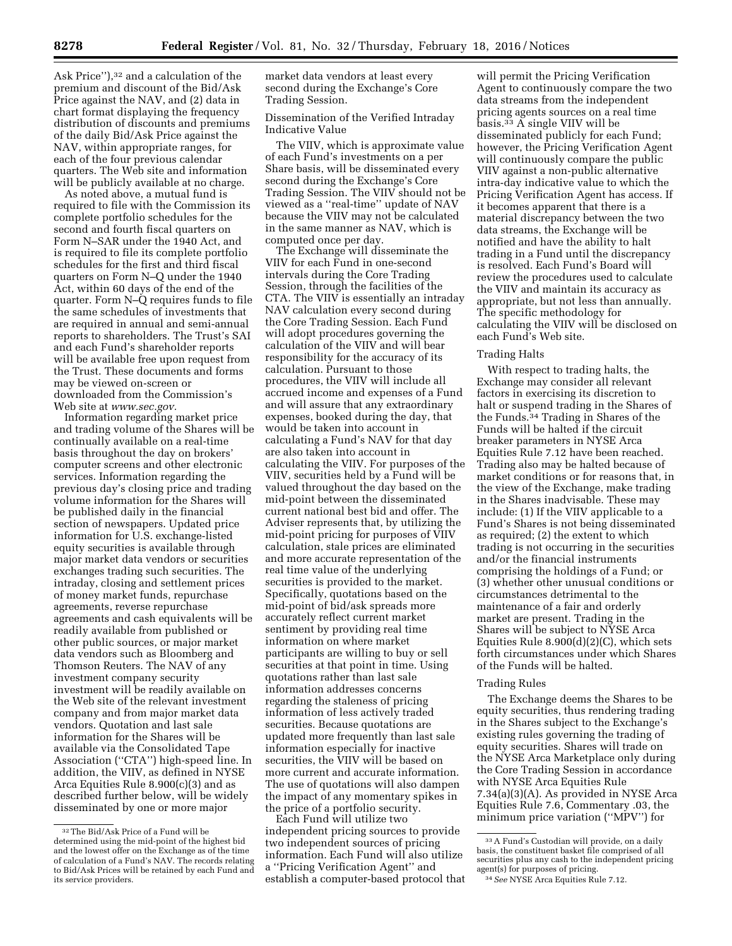Ask Price"),<sup>32</sup> and a calculation of the premium and discount of the Bid/Ask Price against the NAV, and (2) data in chart format displaying the frequency distribution of discounts and premiums of the daily Bid/Ask Price against the NAV, within appropriate ranges, for each of the four previous calendar quarters. The Web site and information will be publicly available at no charge.

As noted above, a mutual fund is required to file with the Commission its complete portfolio schedules for the second and fourth fiscal quarters on Form N–SAR under the 1940 Act, and is required to file its complete portfolio schedules for the first and third fiscal quarters on Form N–Q under the 1940 Act, within 60 days of the end of the quarter. Form N–Q requires funds to file the same schedules of investments that are required in annual and semi-annual reports to shareholders. The Trust's SAI and each Fund's shareholder reports will be available free upon request from the Trust. These documents and forms may be viewed on-screen or downloaded from the Commission's Web site at *[www.sec.gov.](http://www.sec.gov)* 

Information regarding market price and trading volume of the Shares will be continually available on a real-time basis throughout the day on brokers' computer screens and other electronic services. Information regarding the previous day's closing price and trading volume information for the Shares will be published daily in the financial section of newspapers. Updated price information for U.S. exchange-listed equity securities is available through major market data vendors or securities exchanges trading such securities. The intraday, closing and settlement prices of money market funds, repurchase agreements, reverse repurchase agreements and cash equivalents will be readily available from published or other public sources, or major market data vendors such as Bloomberg and Thomson Reuters. The NAV of any investment company security investment will be readily available on the Web site of the relevant investment company and from major market data vendors. Quotation and last sale information for the Shares will be available via the Consolidated Tape Association (''CTA'') high-speed line. In addition, the VIIV, as defined in NYSE Arca Equities Rule 8.900(c)(3) and as described further below, will be widely disseminated by one or more major

market data vendors at least every second during the Exchange's Core Trading Session.

Dissemination of the Verified Intraday Indicative Value

The VIIV, which is approximate value of each Fund's investments on a per Share basis, will be disseminated every second during the Exchange's Core Trading Session. The VIIV should not be viewed as a ''real-time'' update of NAV because the VIIV may not be calculated in the same manner as NAV, which is computed once per day.

The Exchange will disseminate the VIIV for each Fund in one-second intervals during the Core Trading Session, through the facilities of the CTA. The VIIV is essentially an intraday NAV calculation every second during the Core Trading Session. Each Fund will adopt procedures governing the calculation of the VIIV and will bear responsibility for the accuracy of its calculation. Pursuant to those procedures, the VIIV will include all accrued income and expenses of a Fund and will assure that any extraordinary expenses, booked during the day, that would be taken into account in calculating a Fund's NAV for that day are also taken into account in calculating the VIIV. For purposes of the VIIV, securities held by a Fund will be valued throughout the day based on the mid-point between the disseminated current national best bid and offer. The Adviser represents that, by utilizing the mid-point pricing for purposes of VIIV calculation, stale prices are eliminated and more accurate representation of the real time value of the underlying securities is provided to the market. Specifically, quotations based on the mid-point of bid/ask spreads more accurately reflect current market sentiment by providing real time information on where market participants are willing to buy or sell securities at that point in time. Using quotations rather than last sale information addresses concerns regarding the staleness of pricing information of less actively traded securities. Because quotations are updated more frequently than last sale information especially for inactive securities, the VIIV will be based on more current and accurate information. The use of quotations will also dampen the impact of any momentary spikes in the price of a portfolio security.

Each Fund will utilize two independent pricing sources to provide two independent sources of pricing information. Each Fund will also utilize a ''Pricing Verification Agent'' and establish a computer-based protocol that

will permit the Pricing Verification Agent to continuously compare the two data streams from the independent pricing agents sources on a real time basis.33 A single VIIV will be disseminated publicly for each Fund; however, the Pricing Verification Agent will continuously compare the public VIIV against a non-public alternative intra-day indicative value to which the Pricing Verification Agent has access. If it becomes apparent that there is a material discrepancy between the two data streams, the Exchange will be notified and have the ability to halt trading in a Fund until the discrepancy is resolved. Each Fund's Board will review the procedures used to calculate the VIIV and maintain its accuracy as appropriate, but not less than annually. The specific methodology for calculating the VIIV will be disclosed on each Fund's Web site.

#### Trading Halts

With respect to trading halts, the Exchange may consider all relevant factors in exercising its discretion to halt or suspend trading in the Shares of the Funds.34 Trading in Shares of the Funds will be halted if the circuit breaker parameters in NYSE Arca Equities Rule 7.12 have been reached. Trading also may be halted because of market conditions or for reasons that, in the view of the Exchange, make trading in the Shares inadvisable. These may include: (1) If the VIIV applicable to a Fund's Shares is not being disseminated as required; (2) the extent to which trading is not occurring in the securities and/or the financial instruments comprising the holdings of a Fund; or (3) whether other unusual conditions or circumstances detrimental to the maintenance of a fair and orderly market are present. Trading in the Shares will be subject to NYSE Arca Equities Rule 8.900(d)(2)(C), which sets forth circumstances under which Shares of the Funds will be halted.

#### Trading Rules

The Exchange deems the Shares to be equity securities, thus rendering trading in the Shares subject to the Exchange's existing rules governing the trading of equity securities. Shares will trade on the NYSE Arca Marketplace only during the Core Trading Session in accordance with NYSE Arca Equities Rule 7.34(a)(3)(A). As provided in NYSE Arca Equities Rule 7.6, Commentary .03, the minimum price variation (''MPV'') for

<sup>32</sup>The Bid/Ask Price of a Fund will be determined using the mid-point of the highest bid and the lowest offer on the Exchange as of the time of calculation of a Fund's NAV. The records relating to Bid/Ask Prices will be retained by each Fund and its service providers.

<sup>33</sup>A Fund's Custodian will provide, on a daily basis, the constituent basket file comprised of all securities plus any cash to the independent pricing agent(s) for purposes of pricing.

<sup>&</sup>lt;sup>34</sup> See NYSE Arca Equities Rule 7.12.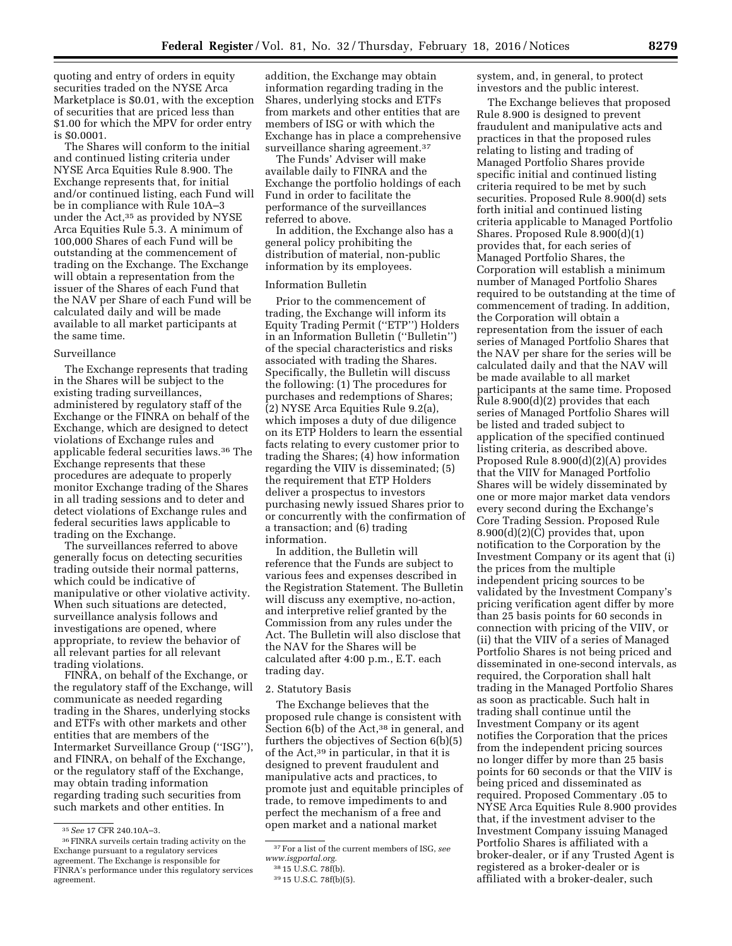quoting and entry of orders in equity securities traded on the NYSE Arca Marketplace is \$0.01, with the exception of securities that are priced less than \$1.00 for which the MPV for order entry is \$0.0001.

The Shares will conform to the initial and continued listing criteria under NYSE Arca Equities Rule 8.900. The Exchange represents that, for initial and/or continued listing, each Fund will be in compliance with Rule 10A–3 under the Act,35 as provided by NYSE Arca Equities Rule 5.3. A minimum of 100,000 Shares of each Fund will be outstanding at the commencement of trading on the Exchange. The Exchange will obtain a representation from the issuer of the Shares of each Fund that the NAV per Share of each Fund will be calculated daily and will be made available to all market participants at the same time.

#### Surveillance

The Exchange represents that trading in the Shares will be subject to the existing trading surveillances, administered by regulatory staff of the Exchange or the FINRA on behalf of the Exchange, which are designed to detect violations of Exchange rules and applicable federal securities laws.36 The Exchange represents that these procedures are adequate to properly monitor Exchange trading of the Shares in all trading sessions and to deter and detect violations of Exchange rules and federal securities laws applicable to trading on the Exchange.

The surveillances referred to above generally focus on detecting securities trading outside their normal patterns, which could be indicative of manipulative or other violative activity. When such situations are detected, surveillance analysis follows and investigations are opened, where appropriate, to review the behavior of all relevant parties for all relevant trading violations.

FINRA, on behalf of the Exchange, or the regulatory staff of the Exchange, will communicate as needed regarding trading in the Shares, underlying stocks and ETFs with other markets and other entities that are members of the Intermarket Surveillance Group (''ISG''), and FINRA, on behalf of the Exchange, or the regulatory staff of the Exchange, may obtain trading information regarding trading such securities from such markets and other entities. In

addition, the Exchange may obtain information regarding trading in the Shares, underlying stocks and ETFs from markets and other entities that are members of ISG or with which the Exchange has in place a comprehensive surveillance sharing agreement.<sup>37</sup>

The Funds' Adviser will make available daily to FINRA and the Exchange the portfolio holdings of each Fund in order to facilitate the performance of the surveillances referred to above.

In addition, the Exchange also has a general policy prohibiting the distribution of material, non-public information by its employees.

# Information Bulletin

Prior to the commencement of trading, the Exchange will inform its Equity Trading Permit (''ETP'') Holders in an Information Bulletin (''Bulletin'') of the special characteristics and risks associated with trading the Shares. Specifically, the Bulletin will discuss the following: (1) The procedures for purchases and redemptions of Shares; (2) NYSE Arca Equities Rule 9.2(a), which imposes a duty of due diligence on its ETP Holders to learn the essential facts relating to every customer prior to trading the Shares; (4) how information regarding the VIIV is disseminated; (5) the requirement that ETP Holders deliver a prospectus to investors purchasing newly issued Shares prior to or concurrently with the confirmation of a transaction; and (6) trading information.

In addition, the Bulletin will reference that the Funds are subject to various fees and expenses described in the Registration Statement. The Bulletin will discuss any exemptive, no-action, and interpretive relief granted by the Commission from any rules under the Act. The Bulletin will also disclose that the NAV for the Shares will be calculated after 4:00 p.m., E.T. each trading day.

#### 2. Statutory Basis

The Exchange believes that the proposed rule change is consistent with Section 6(b) of the Act,<sup>38</sup> in general, and furthers the objectives of Section 6(b)(5) of the Act,39 in particular, in that it is designed to prevent fraudulent and manipulative acts and practices, to promote just and equitable principles of trade, to remove impediments to and perfect the mechanism of a free and open market and a national market

system, and, in general, to protect investors and the public interest.

The Exchange believes that proposed Rule 8.900 is designed to prevent fraudulent and manipulative acts and practices in that the proposed rules relating to listing and trading of Managed Portfolio Shares provide specific initial and continued listing criteria required to be met by such securities. Proposed Rule 8.900(d) sets forth initial and continued listing criteria applicable to Managed Portfolio Shares. Proposed Rule 8.900(d)(1) provides that, for each series of Managed Portfolio Shares, the Corporation will establish a minimum number of Managed Portfolio Shares required to be outstanding at the time of commencement of trading. In addition, the Corporation will obtain a representation from the issuer of each series of Managed Portfolio Shares that the NAV per share for the series will be calculated daily and that the NAV will be made available to all market participants at the same time. Proposed Rule 8.900(d)(2) provides that each series of Managed Portfolio Shares will be listed and traded subject to application of the specified continued listing criteria, as described above. Proposed Rule 8.900(d)(2)(A) provides that the VIIV for Managed Portfolio Shares will be widely disseminated by one or more major market data vendors every second during the Exchange's Core Trading Session. Proposed Rule 8.900(d)(2)(C) provides that, upon notification to the Corporation by the Investment Company or its agent that (i) the prices from the multiple independent pricing sources to be validated by the Investment Company's pricing verification agent differ by more than 25 basis points for 60 seconds in connection with pricing of the VIIV, or (ii) that the VIIV of a series of Managed Portfolio Shares is not being priced and disseminated in one-second intervals, as required, the Corporation shall halt trading in the Managed Portfolio Shares as soon as practicable. Such halt in trading shall continue until the Investment Company or its agent notifies the Corporation that the prices from the independent pricing sources no longer differ by more than 25 basis points for 60 seconds or that the VIIV is being priced and disseminated as required. Proposed Commentary .05 to NYSE Arca Equities Rule 8.900 provides that, if the investment adviser to the Investment Company issuing Managed Portfolio Shares is affiliated with a broker-dealer, or if any Trusted Agent is registered as a broker-dealer or is affiliated with a broker-dealer, such

<sup>35</sup>*See* 17 CFR 240.10A–3.

<sup>36</sup>FINRA surveils certain trading activity on the Exchange pursuant to a regulatory services agreement. The Exchange is responsible for FINRA's performance under this regulatory services agreement.

<sup>37</sup>For a list of the current members of ISG, *see [www.isgportal.org.](http://www.isgportal.org)* 

<sup>38</sup> 15 U.S.C. 78f(b).

<sup>39</sup> 15 U.S.C. 78f(b)(5).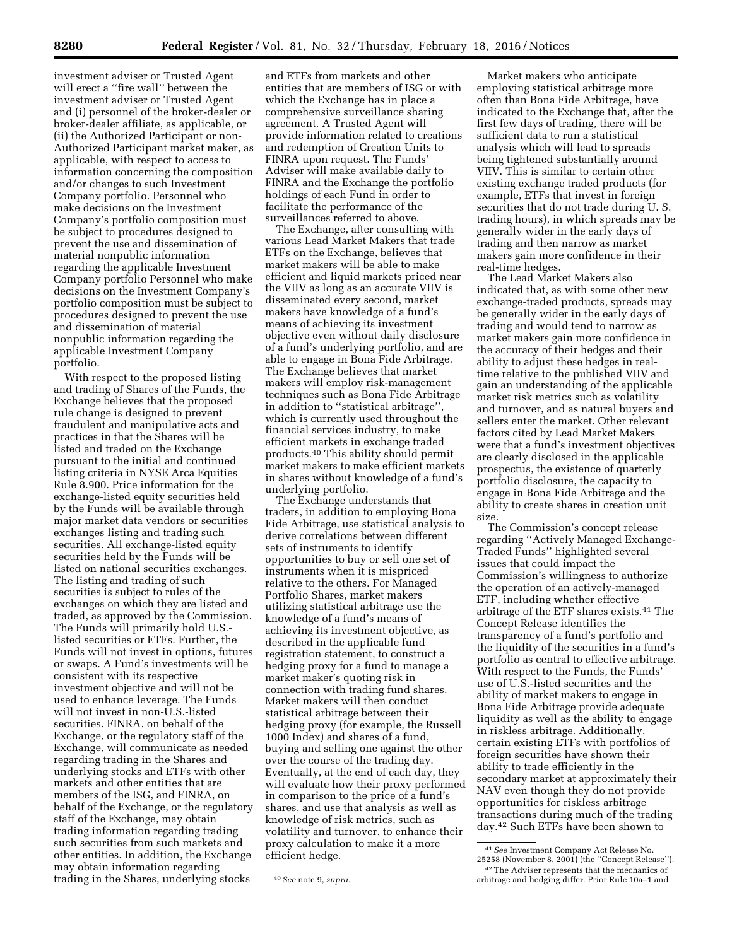investment adviser or Trusted Agent will erect a ''fire wall'' between the investment adviser or Trusted Agent and (i) personnel of the broker-dealer or broker-dealer affiliate, as applicable, or (ii) the Authorized Participant or non-Authorized Participant market maker, as applicable, with respect to access to information concerning the composition and/or changes to such Investment Company portfolio. Personnel who make decisions on the Investment Company's portfolio composition must be subject to procedures designed to prevent the use and dissemination of material nonpublic information regarding the applicable Investment Company portfolio Personnel who make decisions on the Investment Company's portfolio composition must be subject to procedures designed to prevent the use and dissemination of material nonpublic information regarding the applicable Investment Company portfolio.

With respect to the proposed listing and trading of Shares of the Funds, the Exchange believes that the proposed rule change is designed to prevent fraudulent and manipulative acts and practices in that the Shares will be listed and traded on the Exchange pursuant to the initial and continued listing criteria in NYSE Arca Equities Rule 8.900. Price information for the exchange-listed equity securities held by the Funds will be available through major market data vendors or securities exchanges listing and trading such securities. All exchange-listed equity securities held by the Funds will be listed on national securities exchanges. The listing and trading of such securities is subject to rules of the exchanges on which they are listed and traded, as approved by the Commission. The Funds will primarily hold U.S. listed securities or ETFs. Further, the Funds will not invest in options, futures or swaps. A Fund's investments will be consistent with its respective investment objective and will not be used to enhance leverage. The Funds will not invest in non-U.S.-listed securities. FINRA, on behalf of the Exchange, or the regulatory staff of the Exchange, will communicate as needed regarding trading in the Shares and underlying stocks and ETFs with other markets and other entities that are members of the ISG, and FINRA, on behalf of the Exchange, or the regulatory staff of the Exchange, may obtain trading information regarding trading such securities from such markets and other entities. In addition, the Exchange may obtain information regarding trading in the Shares, underlying stocks

and ETFs from markets and other entities that are members of ISG or with which the Exchange has in place a comprehensive surveillance sharing agreement. A Trusted Agent will provide information related to creations and redemption of Creation Units to FINRA upon request. The Funds' Adviser will make available daily to FINRA and the Exchange the portfolio holdings of each Fund in order to facilitate the performance of the surveillances referred to above.

The Exchange, after consulting with various Lead Market Makers that trade ETFs on the Exchange, believes that market makers will be able to make efficient and liquid markets priced near the VIIV as long as an accurate VIIV is disseminated every second, market makers have knowledge of a fund's means of achieving its investment objective even without daily disclosure of a fund's underlying portfolio, and are able to engage in Bona Fide Arbitrage. The Exchange believes that market makers will employ risk-management techniques such as Bona Fide Arbitrage in addition to ''statistical arbitrage'', which is currently used throughout the financial services industry, to make efficient markets in exchange traded products.40 This ability should permit market makers to make efficient markets in shares without knowledge of a fund's underlying portfolio.

The Exchange understands that traders, in addition to employing Bona Fide Arbitrage, use statistical analysis to derive correlations between different sets of instruments to identify opportunities to buy or sell one set of instruments when it is mispriced relative to the others. For Managed Portfolio Shares, market makers utilizing statistical arbitrage use the knowledge of a fund's means of achieving its investment objective, as described in the applicable fund registration statement, to construct a hedging proxy for a fund to manage a market maker's quoting risk in connection with trading fund shares. Market makers will then conduct statistical arbitrage between their hedging proxy (for example, the Russell 1000 Index) and shares of a fund, buying and selling one against the other over the course of the trading day. Eventually, at the end of each day, they will evaluate how their proxy performed in comparison to the price of a fund's shares, and use that analysis as well as knowledge of risk metrics, such as volatility and turnover, to enhance their proxy calculation to make it a more efficient hedge.

Market makers who anticipate employing statistical arbitrage more often than Bona Fide Arbitrage, have indicated to the Exchange that, after the first few days of trading, there will be sufficient data to run a statistical analysis which will lead to spreads being tightened substantially around VIIV. This is similar to certain other existing exchange traded products (for example, ETFs that invest in foreign securities that do not trade during U. S. trading hours), in which spreads may be generally wider in the early days of trading and then narrow as market makers gain more confidence in their real-time hedges.

The Lead Market Makers also indicated that, as with some other new exchange-traded products, spreads may be generally wider in the early days of trading and would tend to narrow as market makers gain more confidence in the accuracy of their hedges and their ability to adjust these hedges in realtime relative to the published VIIV and gain an understanding of the applicable market risk metrics such as volatility and turnover, and as natural buyers and sellers enter the market. Other relevant factors cited by Lead Market Makers were that a fund's investment objectives are clearly disclosed in the applicable prospectus, the existence of quarterly portfolio disclosure, the capacity to engage in Bona Fide Arbitrage and the ability to create shares in creation unit size.

The Commission's concept release regarding ''Actively Managed Exchange-Traded Funds'' highlighted several issues that could impact the Commission's willingness to authorize the operation of an actively-managed ETF, including whether effective arbitrage of the ETF shares exists.41 The Concept Release identifies the transparency of a fund's portfolio and the liquidity of the securities in a fund's portfolio as central to effective arbitrage. With respect to the Funds, the Funds' use of U.S.-listed securities and the ability of market makers to engage in Bona Fide Arbitrage provide adequate liquidity as well as the ability to engage in riskless arbitrage. Additionally, certain existing ETFs with portfolios of foreign securities have shown their ability to trade efficiently in the secondary market at approximately their NAV even though they do not provide opportunities for riskless arbitrage transactions during much of the trading day.42 Such ETFs have been shown to

<sup>40</sup>*See* note 9, *supra.* 

<sup>41</sup>*See* Investment Company Act Release No. 25258 (November 8, 2001) (the ''Concept Release''). 42The Adviser represents that the mechanics of arbitrage and hedging differ. Prior Rule 10a–1 and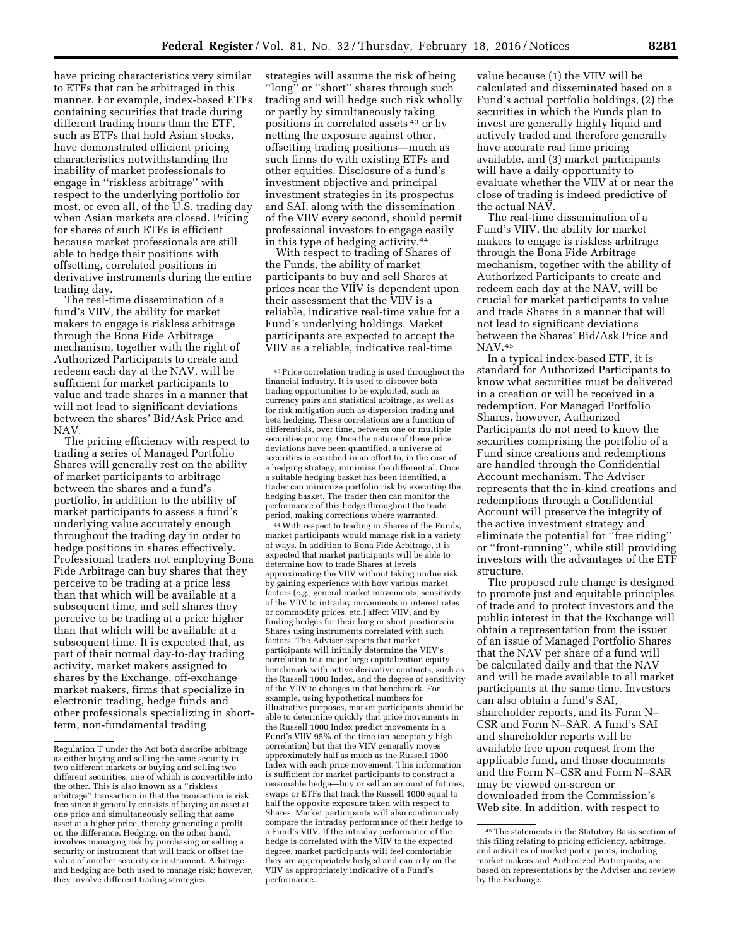have pricing characteristics very similar to ETFs that can be arbitraged in this manner. For example, index-based ETFs containing securities that trade during different trading hours than the ETF, such as ETFs that hold Asian stocks, have demonstrated efficient pricing characteristics notwithstanding the inability of market professionals to engage in ''riskless arbitrage'' with respect to the underlying portfolio for most, or even all, of the U.S. trading day when Asian markets are closed. Pricing for shares of such ETFs is efficient because market professionals are still able to hedge their positions with offsetting, correlated positions in derivative instruments during the entire trading day.

The real-time dissemination of a fund's VIIV, the ability for market makers to engage is riskless arbitrage through the Bona Fide Arbitrage mechanism, together with the right of Authorized Participants to create and redeem each day at the NAV, will be sufficient for market participants to value and trade shares in a manner that will not lead to significant deviations between the shares' Bid/Ask Price and NAV.

The pricing efficiency with respect to trading a series of Managed Portfolio Shares will generally rest on the ability of market participants to arbitrage between the shares and a fund's portfolio, in addition to the ability of market participants to assess a fund's underlying value accurately enough throughout the trading day in order to hedge positions in shares effectively. Professional traders not employing Bona Fide Arbitrage can buy shares that they perceive to be trading at a price less than that which will be available at a subsequent time, and sell shares they perceive to be trading at a price higher than that which will be available at a subsequent time. It is expected that, as part of their normal day-to-day trading activity, market makers assigned to shares by the Exchange, off-exchange market makers, firms that specialize in electronic trading, hedge funds and other professionals specializing in shortterm, non-fundamental trading

strategies will assume the risk of being ''long'' or ''short'' shares through such trading and will hedge such risk wholly or partly by simultaneously taking positions in correlated assets 43 or by netting the exposure against other, offsetting trading positions—much as such firms do with existing ETFs and other equities. Disclosure of a fund's investment objective and principal investment strategies in its prospectus and SAI, along with the dissemination of the VIIV every second, should permit professional investors to engage easily in this type of hedging activity.44

With respect to trading of Shares of the Funds, the ability of market participants to buy and sell Shares at prices near the VIIV is dependent upon their assessment that the VIIV is a reliable, indicative real-time value for a Fund's underlying holdings. Market participants are expected to accept the VIIV as a reliable, indicative real-time

44With respect to trading in Shares of the Funds, market participants would manage risk in a variety of ways. In addition to Bona Fide Arbitrage, it is expected that market participants will be able to determine how to trade Shares at levels approximating the VIIV without taking undue risk by gaining experience with how various market factors (*e.g.,* general market movements, sensitivity of the VIIV to intraday movements in interest rates or commodity prices, etc.) affect VIIV, and by finding hedges for their long or short positions in Shares using instruments correlated with such factors. The Adviser expects that market participants will initially determine the VIIV's correlation to a major large capitalization equity benchmark with active derivative contracts, such as the Russell 1000 Index, and the degree of sensitivity of the VIIV to changes in that benchmark. For example, using hypothetical numbers for illustrative purposes, market participants should be able to determine quickly that price movements in the Russell 1000 Index predict movements in a Fund's VIIV 95% of the time (an acceptably high correlation) but that the VIIV generally moves approximately half as much as the Russell 1000 Index with each price movement. This information is sufficient for market participants to construct a reasonable hedge—buy or sell an amount of futures, swaps or ETFs that track the Russell 1000 equal to half the opposite exposure taken with respect to Shares. Market participants will also continuously compare the intraday performance of their hedge to a Fund's VIIV. If the intraday performance of the hedge is correlated with the VIIV to the expected degree, market participants will feel comfortable they are appropriately hedged and can rely on the VIIV as appropriately indicative of a Fund's performance.

value because (1) the VIIV will be calculated and disseminated based on a Fund's actual portfolio holdings, (2) the securities in which the Funds plan to invest are generally highly liquid and actively traded and therefore generally have accurate real time pricing available, and (3) market participants will have a daily opportunity to evaluate whether the VIIV at or near the close of trading is indeed predictive of the actual NAV.

The real-time dissemination of a Fund's VIIV, the ability for market makers to engage is riskless arbitrage through the Bona Fide Arbitrage mechanism, together with the ability of Authorized Participants to create and redeem each day at the NAV, will be crucial for market participants to value and trade Shares in a manner that will not lead to significant deviations between the Shares' Bid/Ask Price and NAV.45

In a typical index-based ETF, it is standard for Authorized Participants to know what securities must be delivered in a creation or will be received in a redemption. For Managed Portfolio Shares, however, Authorized Participants do not need to know the securities comprising the portfolio of a Fund since creations and redemptions are handled through the Confidential Account mechanism. The Adviser represents that the in-kind creations and redemptions through a Confidential Account will preserve the integrity of the active investment strategy and eliminate the potential for ''free riding'' or ''front-running'', while still providing investors with the advantages of the ETF structure.

The proposed rule change is designed to promote just and equitable principles of trade and to protect investors and the public interest in that the Exchange will obtain a representation from the issuer of an issue of Managed Portfolio Shares that the NAV per share of a fund will be calculated daily and that the NAV and will be made available to all market participants at the same time. Investors can also obtain a fund's SAI, shareholder reports, and its Form N– CSR and Form N–SAR. A fund's SAI and shareholder reports will be available free upon request from the applicable fund, and those documents and the Form N–CSR and Form N–SAR may be viewed on-screen or downloaded from the Commission's Web site. In addition, with respect to

Regulation T under the Act both describe arbitrage as either buying and selling the same security in two different markets or buying and selling two different securities, one of which is convertible into the other. This is also known as a ''riskless arbitrage'' transaction in that the transaction is risk free since it generally consists of buying an asset at one price and simultaneously selling that same asset at a higher price, thereby generating a profit on the difference. Hedging, on the other hand, involves managing risk by purchasing or selling a security or instrument that will track or offset the value of another security or instrument. Arbitrage and hedging are both used to manage risk; however, they involve different trading strategies.

<sup>43</sup>Price correlation trading is used throughout the financial industry. It is used to discover both trading opportunities to be exploited, such as currency pairs and statistical arbitrage, as well as for risk mitigation such as dispersion trading and beta hedging. These correlations are a function of differentials, over time, between one or multiple securities pricing. Once the nature of these price deviations have been quantified, a universe of securities is searched in an effort to, in the case of a hedging strategy, minimize the differential. Once a suitable hedging basket has been identified, a trader can minimize portfolio risk by executing the hedging basket. The trader then can monitor the performance of this hedge throughout the trade period, making corrections where warranted.

<sup>45</sup>The statements in the Statutory Basis section of this filing relating to pricing efficiency, arbitrage, and activities of market participants, including market makers and Authorized Participants, are based on representations by the Adviser and review by the Exchange.